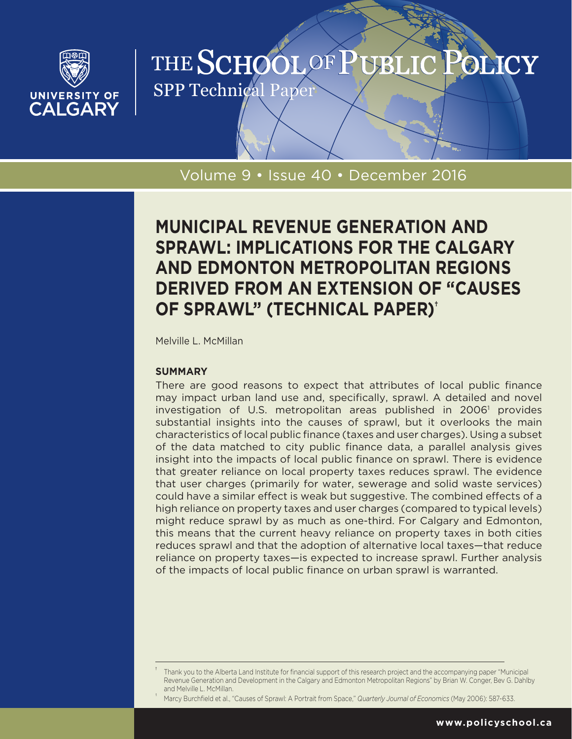

# THE SCHOOL OF PUBLIC POLICY

SPP Technical Paper

# Volume 9 • Issue 40 • December 2016

# **MUNICIPAL REVENUE GENERATION AND SPRAWL: IMPLICATIONS FOR THE CALGARY AND EDMONTON METROPOLITAN REGIONS DERIVED FROM AN EXTENSION OF "CAUSES OF SPRAWL" (TECHNICAL PAPER)†**

Melville L. McMillan

# **SUMMARY**

There are good reasons to expect that attributes of local public finance may impact urban land use and, specifically, sprawl. A detailed and novel investigation of U.S. metropolitan areas published in 2006<sup>1</sup> provides substantial insights into the causes of sprawl, but it overlooks the main characteristics of local public finance (taxes and user charges). Using a subset of the data matched to city public finance data, a parallel analysis gives insight into the impacts of local public finance on sprawl. There is evidence that greater reliance on local property taxes reduces sprawl. The evidence that user charges (primarily for water, sewerage and solid waste services) could have a similar effect is weak but suggestive. The combined effects of a high reliance on property taxes and user charges (compared to typical levels) might reduce sprawl by as much as one-third. For Calgary and Edmonton, this means that the current heavy reliance on property taxes in both cities reduces sprawl and that the adoption of alternative local taxes—that reduce reliance on property taxes—is expected to increase sprawl. Further analysis of the impacts of local public finance on urban sprawl is warranted.

Thank you to the Alberta Land Institute for financial support of this research project and the accompanying paper "Municipal Revenue Generation and Development in the Calgary and Edmonton Metropolitan Regions" by Brian W. Conger, Bev G. Dahlby and Melville L. McMillan.

Marcy Burchfield et al., "Causes of Sprawl: A Portrait from Space," *Quarterly Journal of Economics* (May 2006): 587-633.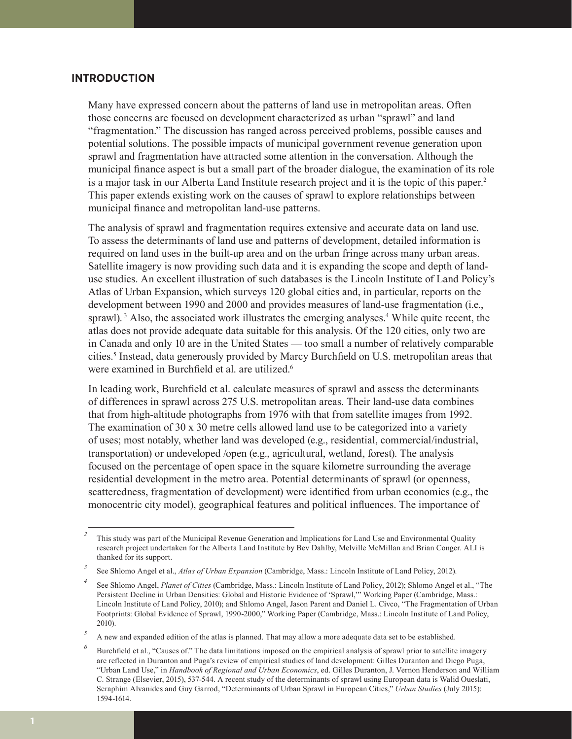## **INTRODUCTION**

Many have expressed concern about the patterns of land use in metropolitan areas. Often those concerns are focused on development characterized as urban "sprawl" and land "fragmentation." The discussion has ranged across perceived problems, possible causes and potential solutions. The possible impacts of municipal government revenue generation upon sprawl and fragmentation have attracted some attention in the conversation. Although the municipal finance aspect is but a small part of the broader dialogue, the examination of its role is a major task in our Alberta Land Institute research project and it is the topic of this paper.2 This paper extends existing work on the causes of sprawl to explore relationships between municipal finance and metropolitan land-use patterns.

The analysis of sprawl and fragmentation requires extensive and accurate data on land use. To assess the determinants of land use and patterns of development, detailed information is required on land uses in the built-up area and on the urban fringe across many urban areas. Satellite imagery is now providing such data and it is expanding the scope and depth of landuse studies. An excellent illustration of such databases is the Lincoln Institute of Land Policy's Atlas of Urban Expansion, which surveys 120 global cities and, in particular, reports on the development between 1990 and 2000 and provides measures of land-use fragmentation (i.e., sprawl).<sup>3</sup> Also, the associated work illustrates the emerging analyses.<sup>4</sup> While quite recent, the atlas does not provide adequate data suitable for this analysis. Of the 120 cities, only two are in Canada and only 10 are in the United States — too small a number of relatively comparable cities.5 Instead, data generously provided by Marcy Burchfield on U.S. metropolitan areas that were examined in Burchfield et al. are utilized.<sup>6</sup>

In leading work, Burchfield et al. calculate measures of sprawl and assess the determinants of differences in sprawl across 275 U.S. metropolitan areas. Their land-use data combines that from high-altitude photographs from 1976 with that from satellite images from 1992. The examination of 30 x 30 metre cells allowed land use to be categorized into a variety of uses; most notably, whether land was developed (e.g., residential, commercial/industrial, transportation) or undeveloped /open (e.g., agricultural, wetland, forest). The analysis focused on the percentage of open space in the square kilometre surrounding the average residential development in the metro area. Potential determinants of sprawl (or openness, scatteredness, fragmentation of development) were identified from urban economics (e.g., the monocentric city model), geographical features and political influences. The importance of

*<sup>2</sup>* This study was part of the Municipal Revenue Generation and Implications for Land Use and Environmental Quality research project undertaken for the Alberta Land Institute by Bev Dahlby, Melville McMillan and Brian Conger. ALI is thanked for its support.

*<sup>3</sup>* See Shlomo Angel et al., *Atlas of Urban Expansion* (Cambridge, Mass.: Lincoln Institute of Land Policy, 2012).

*<sup>4</sup>* See Shlomo Angel, *Planet of Cities* (Cambridge, Mass.: Lincoln Institute of Land Policy, 2012); Shlomo Angel et al., "The Persistent Decline in Urban Densities: Global and Historic Evidence of 'Sprawl,'" Working Paper (Cambridge, Mass.: Lincoln Institute of Land Policy, 2010); and Shlomo Angel, Jason Parent and Daniel L. Civco, "The Fragmentation of Urban Footprints: Global Evidence of Sprawl, 1990-2000," Working Paper (Cambridge, Mass.: Lincoln Institute of Land Policy, 2010).

<sup>&</sup>lt;sup>5</sup> A new and expanded edition of the atlas is planned. That may allow a more adequate data set to be established.

*<sup>6</sup>* Burchfield et al., "Causes of." The data limitations imposed on the empirical analysis of sprawl prior to satellite imagery are reflected in Duranton and Puga's review of empirical studies of land development: Gilles Duranton and Diego Puga, "Urban Land Use," in *Handbook of Regional and Urban Economics*, ed. Gilles Duranton, J. Vernon Henderson and William C. Strange (Elsevier, 2015), 537-544. A recent study of the determinants of sprawl using European data is Walid Oueslati, Seraphim Alvanides and Guy Garrod, "Determinants of Urban Sprawl in European Cities," *Urban Studies* (July 2015): 1594-1614.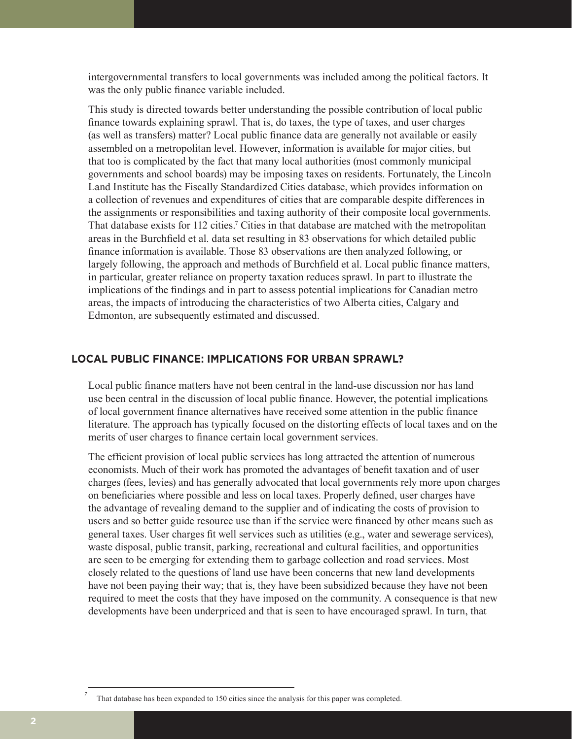intergovernmental transfers to local governments was included among the political factors. It was the only public finance variable included.

This study is directed towards better understanding the possible contribution of local public finance towards explaining sprawl. That is, do taxes, the type of taxes, and user charges (as well as transfers) matter? Local public finance data are generally not available or easily assembled on a metropolitan level. However, information is available for major cities, but that too is complicated by the fact that many local authorities (most commonly municipal governments and school boards) may be imposing taxes on residents. Fortunately, the Lincoln Land Institute has the Fiscally Standardized Cities database, which provides information on a collection of revenues and expenditures of cities that are comparable despite differences in the assignments or responsibilities and taxing authority of their composite local governments. That database exists for 112 cities.<sup>7</sup> Cities in that database are matched with the metropolitan areas in the Burchfield et al. data set resulting in 83 observations for which detailed public finance information is available. Those 83 observations are then analyzed following, or largely following, the approach and methods of Burchfield et al. Local public finance matters, in particular, greater reliance on property taxation reduces sprawl. In part to illustrate the implications of the findings and in part to assess potential implications for Canadian metro areas, the impacts of introducing the characteristics of two Alberta cities, Calgary and Edmonton, are subsequently estimated and discussed.

# **LOCAL PUBLIC FINANCE: IMPLICATIONS FOR URBAN SPRAWL?**

Local public finance matters have not been central in the land-use discussion nor has land use been central in the discussion of local public finance. However, the potential implications of local government finance alternatives have received some attention in the public finance literature. The approach has typically focused on the distorting effects of local taxes and on the merits of user charges to finance certain local government services.

The efficient provision of local public services has long attracted the attention of numerous economists. Much of their work has promoted the advantages of benefit taxation and of user charges (fees, levies) and has generally advocated that local governments rely more upon charges on beneficiaries where possible and less on local taxes. Properly defined, user charges have the advantage of revealing demand to the supplier and of indicating the costs of provision to users and so better guide resource use than if the service were financed by other means such as general taxes. User charges fit well services such as utilities (e.g., water and sewerage services), waste disposal, public transit, parking, recreational and cultural facilities, and opportunities are seen to be emerging for extending them to garbage collection and road services. Most closely related to the questions of land use have been concerns that new land developments have not been paying their way; that is, they have been subsidized because they have not been required to meet the costs that they have imposed on the community. A consequence is that new developments have been underpriced and that is seen to have encouraged sprawl. In turn, that

*<sup>7</sup>* That database has been expanded to 150 cities since the analysis for this paper was completed.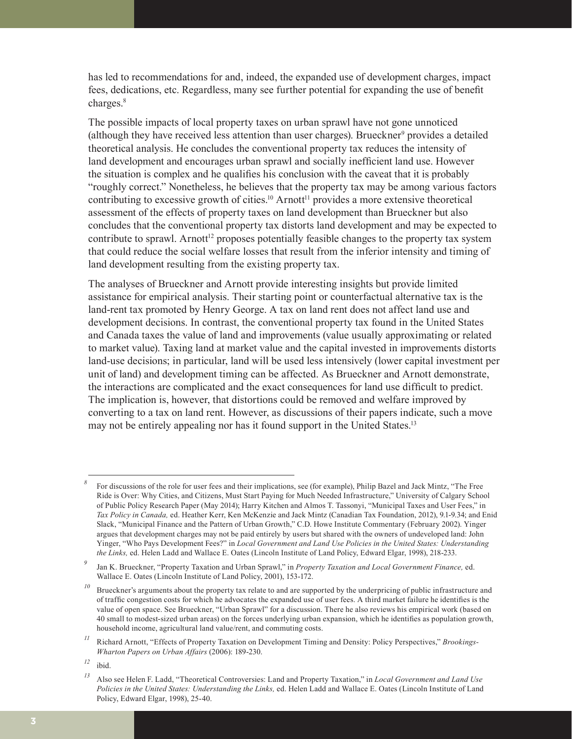has led to recommendations for and, indeed, the expanded use of development charges, impact fees, dedications, etc. Regardless, many see further potential for expanding the use of benefit charges.<sup>8</sup>

The possible impacts of local property taxes on urban sprawl have not gone unnoticed (although they have received less attention than user charges). Brueckner<sup>9</sup> provides a detailed theoretical analysis. He concludes the conventional property tax reduces the intensity of land development and encourages urban sprawl and socially inefficient land use. However the situation is complex and he qualifies his conclusion with the caveat that it is probably "roughly correct." Nonetheless, he believes that the property tax may be among various factors contributing to excessive growth of cities.<sup>10</sup> Arnott<sup>11</sup> provides a more extensive theoretical assessment of the effects of property taxes on land development than Brueckner but also concludes that the conventional property tax distorts land development and may be expected to contribute to sprawl. Arnott<sup>12</sup> proposes potentially feasible changes to the property tax system that could reduce the social welfare losses that result from the inferior intensity and timing of land development resulting from the existing property tax.

The analyses of Brueckner and Arnott provide interesting insights but provide limited assistance for empirical analysis. Their starting point or counterfactual alternative tax is the land-rent tax promoted by Henry George. A tax on land rent does not affect land use and development decisions. In contrast, the conventional property tax found in the United States and Canada taxes the value of land and improvements (value usually approximating or related to market value). Taxing land at market value and the capital invested in improvements distorts land-use decisions; in particular, land will be used less intensively (lower capital investment per unit of land) and development timing can be affected. As Brueckner and Arnott demonstrate, the interactions are complicated and the exact consequences for land use difficult to predict. The implication is, however, that distortions could be removed and welfare improved by converting to a tax on land rent. However, as discussions of their papers indicate, such a move may not be entirely appealing nor has it found support in the United States.13

*<sup>8</sup>* For discussions of the role for user fees and their implications, see (for example), Philip Bazel and Jack Mintz, "The Free Ride is Over: Why Cities, and Citizens, Must Start Paying for Much Needed Infrastructure," University of Calgary School of Public Policy Research Paper (May 2014); Harry Kitchen and Almos T. Tassonyi, "Municipal Taxes and User Fees," in *Tax Policy in Canada,* ed. Heather Kerr, Ken McKenzie and Jack Mintz (Canadian Tax Foundation, 2012), 9.1-9.34; and Enid Slack, "Municipal Finance and the Pattern of Urban Growth," C.D. Howe Institute Commentary (February 2002). Yinger argues that development charges may not be paid entirely by users but shared with the owners of undeveloped land: John Yinger, "Who Pays Development Fees?" in *Local Government and Land Use Policies in the United States: Understanding the Links,* ed. Helen Ladd and Wallace E. Oates (Lincoln Institute of Land Policy, Edward Elgar, 1998), 218-233.

*<sup>9</sup>* Jan K. Brueckner, "Property Taxation and Urban Sprawl," in *Property Taxation and Local Government Finance,* ed. Wallace E. Oates (Lincoln Institute of Land Policy, 2001), 153-172.

Brueckner's arguments about the property tax relate to and are supported by the underpricing of public infrastructure and of traffic congestion costs for which he advocates the expanded use of user fees. A third market failure he identifies is the value of open space. See Brueckner, "Urban Sprawl" for a discussion. There he also reviews his empirical work (based on 40 small to modest-sized urban areas) on the forces underlying urban expansion, which he identifies as population growth, household income, agricultural land value/rent, and commuting costs.

*<sup>11</sup>* Richard Arnott, "Effects of Property Taxation on Development Timing and Density: Policy Perspectives," *Brookings-Wharton Papers on Urban Affairs* (2006): 189-230.

 $l^2$  ibid.

*<sup>13</sup>* Also see Helen F. Ladd, "Theoretical Controversies: Land and Property Taxation," in *Local Government and Land Use Policies in the United States: Understanding the Links,* ed. Helen Ladd and Wallace E. Oates (Lincoln Institute of Land Policy, Edward Elgar, 1998), 25-40.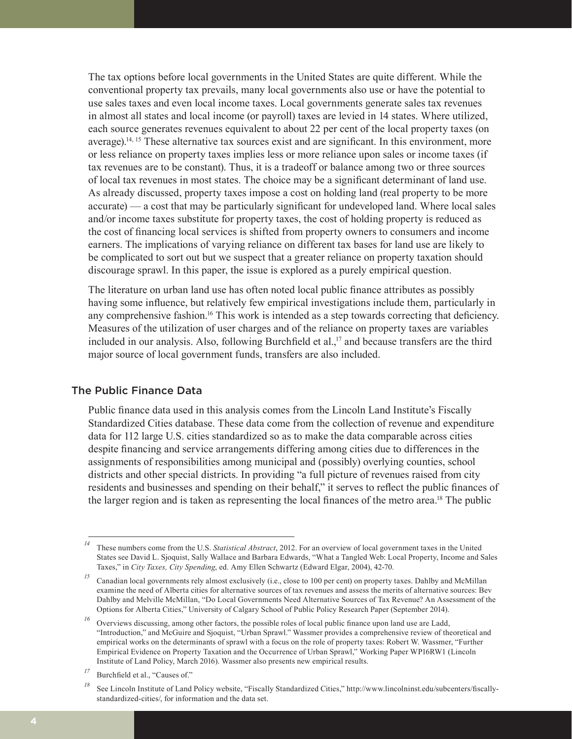The tax options before local governments in the United States are quite different. While the conventional property tax prevails, many local governments also use or have the potential to use sales taxes and even local income taxes. Local governments generate sales tax revenues in almost all states and local income (or payroll) taxes are levied in 14 states. Where utilized, each source generates revenues equivalent to about 22 per cent of the local property taxes (on average).14, 15 These alternative tax sources exist and are significant. In this environment, more or less reliance on property taxes implies less or more reliance upon sales or income taxes (if tax revenues are to be constant). Thus, it is a tradeoff or balance among two or three sources of local tax revenues in most states. The choice may be a significant determinant of land use. As already discussed, property taxes impose a cost on holding land (real property to be more accurate) — a cost that may be particularly significant for undeveloped land. Where local sales and/or income taxes substitute for property taxes, the cost of holding property is reduced as the cost of financing local services is shifted from property owners to consumers and income earners. The implications of varying reliance on different tax bases for land use are likely to be complicated to sort out but we suspect that a greater reliance on property taxation should discourage sprawl. In this paper, the issue is explored as a purely empirical question.

The literature on urban land use has often noted local public finance attributes as possibly having some influence, but relatively few empirical investigations include them, particularly in any comprehensive fashion.<sup>16</sup> This work is intended as a step towards correcting that deficiency. Measures of the utilization of user charges and of the reliance on property taxes are variables included in our analysis. Also, following Burchfield et al.,<sup>17</sup> and because transfers are the third major source of local government funds, transfers are also included.

# The Public Finance Data

Public finance data used in this analysis comes from the Lincoln Land Institute's Fiscally Standardized Cities database. These data come from the collection of revenue and expenditure data for 112 large U.S. cities standardized so as to make the data comparable across cities despite financing and service arrangements differing among cities due to differences in the assignments of responsibilities among municipal and (possibly) overlying counties, school districts and other special districts. In providing "a full picture of revenues raised from city residents and businesses and spending on their behalf," it serves to reflect the public finances of the larger region and is taken as representing the local finances of the metro area.18 The public

*<sup>14</sup>* These numbers come from the U.S. *Statistical Abstract*, 2012. For an overview of local government taxes in the United States see David L. Sjoquist, Sally Wallace and Barbara Edwards, "What a Tangled Web: Local Property, Income and Sales Taxes," in *City Taxes, City Spending*, ed. Amy Ellen Schwartz (Edward Elgar, 2004), 42-70.

<sup>&</sup>lt;sup>15</sup> Canadian local governments rely almost exclusively (i.e., close to 100 per cent) on property taxes. Dahlby and McMillan examine the need of Alberta cities for alternative sources of tax revenues and assess the merits of alternative sources: Bev Dahlby and Melville McMillan, "Do Local Governments Need Alternative Sources of Tax Revenue? An Assessment of the Options for Alberta Cities," University of Calgary School of Public Policy Research Paper (September 2014).

<sup>&</sup>lt;sup>16</sup> Overviews discussing, among other factors, the possible roles of local public finance upon land use are Ladd, "Introduction," and McGuire and Sjoquist, "Urban Sprawl." Wassmer provides a comprehensive review of theoretical and empirical works on the determinants of sprawl with a focus on the role of property taxes: Robert W. Wassmer, "Further Empirical Evidence on Property Taxation and the Occurrence of Urban Sprawl," Working Paper WP16RW1 (Lincoln Institute of Land Policy, March 2016). Wassmer also presents new empirical results.

*<sup>17</sup>* Burchfield et al., "Causes of."

<sup>&</sup>lt;sup>18</sup> See Lincoln Institute of Land Policy website, "Fiscally Standardized Cities," http://www.lincolninst.edu/subcenters/fiscallystandardized-cities/, for information and the data set.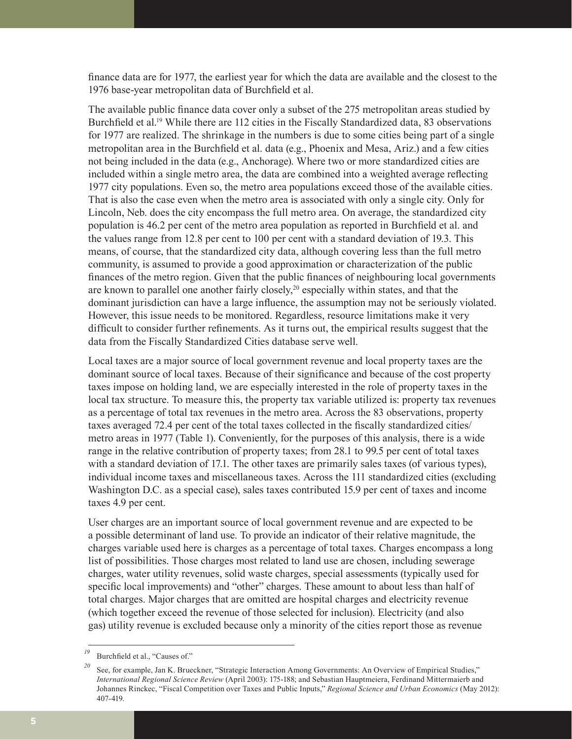finance data are for 1977, the earliest year for which the data are available and the closest to the 1976 base-year metropolitan data of Burchfield et al.

The available public finance data cover only a subset of the 275 metropolitan areas studied by Burchfield et al.<sup>19</sup> While there are 112 cities in the Fiscally Standardized data, 83 observations for 1977 are realized. The shrinkage in the numbers is due to some cities being part of a single metropolitan area in the Burchfield et al. data (e.g., Phoenix and Mesa, Ariz.) and a few cities not being included in the data (e.g., Anchorage). Where two or more standardized cities are included within a single metro area, the data are combined into a weighted average reflecting 1977 city populations. Even so, the metro area populations exceed those of the available cities. That is also the case even when the metro area is associated with only a single city. Only for Lincoln, Neb. does the city encompass the full metro area. On average, the standardized city population is 46.2 per cent of the metro area population as reported in Burchfield et al. and the values range from 12.8 per cent to 100 per cent with a standard deviation of 19.3. This means, of course, that the standardized city data, although covering less than the full metro community, is assumed to provide a good approximation or characterization of the public finances of the metro region. Given that the public finances of neighbouring local governments are known to parallel one another fairly closely,<sup>20</sup> especially within states, and that the dominant jurisdiction can have a large influence, the assumption may not be seriously violated. However, this issue needs to be monitored. Regardless, resource limitations make it very difficult to consider further refinements. As it turns out, the empirical results suggest that the data from the Fiscally Standardized Cities database serve well.

Local taxes are a major source of local government revenue and local property taxes are the dominant source of local taxes. Because of their significance and because of the cost property taxes impose on holding land, we are especially interested in the role of property taxes in the local tax structure. To measure this, the property tax variable utilized is: property tax revenues as a percentage of total tax revenues in the metro area. Across the 83 observations, property taxes averaged 72.4 per cent of the total taxes collected in the fiscally standardized cities/ metro areas in 1977 (Table 1). Conveniently, for the purposes of this analysis, there is a wide range in the relative contribution of property taxes; from 28.1 to 99.5 per cent of total taxes with a standard deviation of 17.1. The other taxes are primarily sales taxes (of various types), individual income taxes and miscellaneous taxes. Across the 111 standardized cities (excluding Washington D.C. as a special case), sales taxes contributed 15.9 per cent of taxes and income taxes 4.9 per cent.

User charges are an important source of local government revenue and are expected to be a possible determinant of land use. To provide an indicator of their relative magnitude, the charges variable used here is charges as a percentage of total taxes. Charges encompass a long list of possibilities. Those charges most related to land use are chosen, including sewerage charges, water utility revenues, solid waste charges, special assessments (typically used for specific local improvements) and "other" charges. These amount to about less than half of total charges. Major charges that are omitted are hospital charges and electricity revenue (which together exceed the revenue of those selected for inclusion). Electricity (and also gas) utility revenue is excluded because only a minority of the cities report those as revenue

*<sup>19</sup>* Burchfield et al., "Causes of."

<sup>&</sup>lt;sup>20</sup> See, for example, Jan K. Brueckner, "Strategic Interaction Among Governments: An Overview of Empirical Studies," *International Regional Science Review* (April 2003): 175-188; and Sebastian Hauptmeiera, Ferdinand Mittermaierb and Johannes Rinckec, "Fiscal Competition over Taxes and Public Inputs," *Regional Science and Urban Economics* (May 2012): 407-419.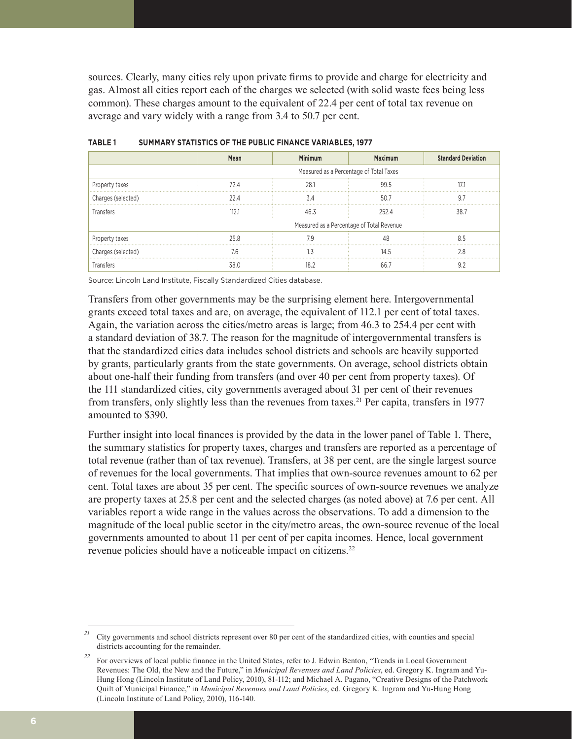sources. Clearly, many cities rely upon private firms to provide and charge for electricity and gas. Almost all cities report each of the charges we selected (with solid waste fees being less common). These charges amount to the equivalent of 22.4 per cent of total tax revenue on average and vary widely with a range from 3.4 to 50.7 per cent.

|                                           | Mean | Minimum                                 | Maximum | <b>Standard Deviation</b> |
|-------------------------------------------|------|-----------------------------------------|---------|---------------------------|
|                                           |      | Measured as a Percentage of Total Taxes |         |                           |
| Property taxes                            | 72.4 |                                         | 99.5    |                           |
| Charges (selected)                        | 22.4 |                                         | 50.     |                           |
| Transfers                                 |      |                                         | 2524    | 38.                       |
| Measured as a Percentage of Total Revenue |      |                                         |         |                           |
| Property taxes                            | 25 R |                                         |         |                           |
| Charges (selected)                        |      |                                         |         |                           |
|                                           |      |                                         |         |                           |

| TABLE 1 | <b>SUMMARY STATISTICS OF THE PUBLIC FINANCE VARIABLES, 1977</b> |  |
|---------|-----------------------------------------------------------------|--|
|         |                                                                 |  |

Source: Lincoln Land Institute, Fiscally Standardized Cities database.

Transfers from other governments may be the surprising element here. Intergovernmental grants exceed total taxes and are, on average, the equivalent of 112.1 per cent of total taxes. Again, the variation across the cities/metro areas is large; from 46.3 to 254.4 per cent with a standard deviation of 38.7. The reason for the magnitude of intergovernmental transfers is that the standardized cities data includes school districts and schools are heavily supported by grants, particularly grants from the state governments. On average, school districts obtain about one-half their funding from transfers (and over 40 per cent from property taxes). Of the 111 standardized cities, city governments averaged about 31 per cent of their revenues from transfers, only slightly less than the revenues from taxes.<sup>21</sup> Per capita, transfers in 1977 amounted to \$390.

Further insight into local finances is provided by the data in the lower panel of Table 1. There, the summary statistics for property taxes, charges and transfers are reported as a percentage of total revenue (rather than of tax revenue). Transfers, at 38 per cent, are the single largest source of revenues for the local governments. That implies that own-source revenues amount to 62 per cent. Total taxes are about 35 per cent. The specific sources of own-source revenues we analyze are property taxes at 25.8 per cent and the selected charges (as noted above) at 7.6 per cent. All variables report a wide range in the values across the observations. To add a dimension to the magnitude of the local public sector in the city/metro areas, the own-source revenue of the local governments amounted to about 11 per cent of per capita incomes. Hence, local government revenue policies should have a noticeable impact on citizens.<sup>22</sup>

*<sup>21</sup>* City governments and school districts represent over 80 per cent of the standardized cities, with counties and special districts accounting for the remainder.

<sup>&</sup>lt;sup>22</sup> For overviews of local public finance in the United States, refer to J. Edwin Benton, "Trends in Local Government Revenues: The Old, the New and the Future," in *Municipal Revenues and Land Policies*, ed. Gregory K. Ingram and Yu-Hung Hong (Lincoln Institute of Land Policy, 2010), 81-112; and Michael A. Pagano, "Creative Designs of the Patchwork Quilt of Municipal Finance," in *Municipal Revenues and Land Policies*, ed. Gregory K. Ingram and Yu-Hung Hong (Lincoln Institute of Land Policy, 2010), 116-140.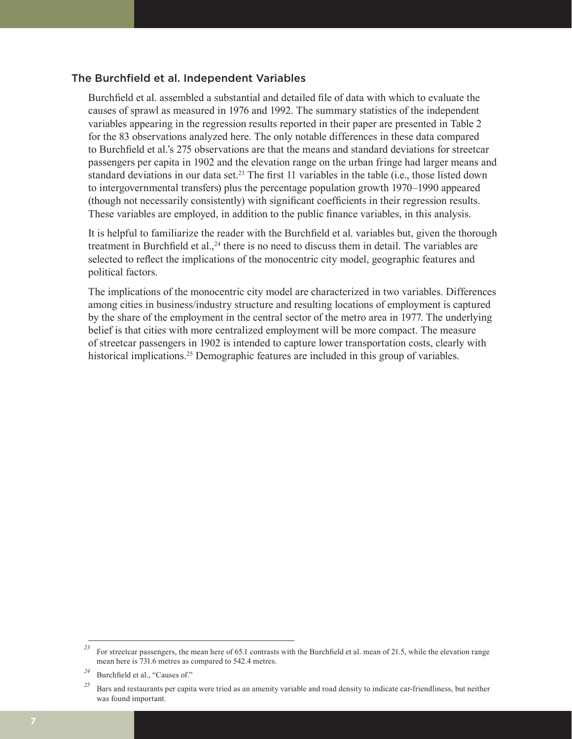#### The Burchfield et al. Independent Variables

Burchfield et al. assembled a substantial and detailed file of data with which to evaluate the causes of sprawl as measured in 1976 and 1992. The summary statistics of the independent variables appearing in the regression results reported in their paper are presented in Table 2 for the 83 observations analyzed here. The only notable differences in these data compared to Burchfield et al.'s 275 observations are that the means and standard deviations for streetcar passengers per capita in 1902 and the elevation range on the urban fringe had larger means and standard deviations in our data set.<sup>23</sup> The first 11 variables in the table (i.e., those listed down to intergovernmental transfers) plus the percentage population growth 1970–1990 appeared (though not necessarily consistently) with significant coefficients in their regression results. These variables are employed, in addition to the public finance variables, in this analysis.

It is helpful to familiarize the reader with the Burchfield et al. variables but, given the thorough treatment in Burchfield et al.,<sup>24</sup> there is no need to discuss them in detail. The variables are selected to reflect the implications of the monocentric city model, geographic features and political factors.

The implications of the monocentric city model are characterized in two variables. Differences among cities in business/industry structure and resulting locations of employment is captured by the share of the employment in the central sector of the metro area in 1977. The underlying belief is that cities with more centralized employment will be more compact. The measure of streetcar passengers in 1902 is intended to capture lower transportation costs, clearly with historical implications.<sup>25</sup> Demographic features are included in this group of variables.

<sup>&</sup>lt;sup>23</sup> For streetcar passengers, the mean here of 65.1 contrasts with the Burchfield et al. mean of 21.5, while the elevation range mean here is 731.6 metres as compared to 542.4 metres.

*<sup>24</sup>* Burchfield et al., "Causes of."

<sup>&</sup>lt;sup>25</sup> Bars and restaurants per capita were tried as an amenity variable and road density to indicate car-friendliness, but neither was found important.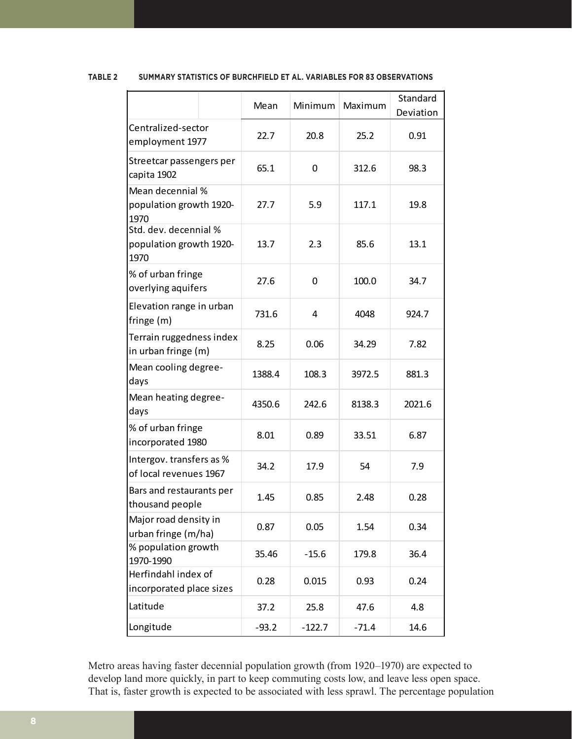# **TABLE 2 SUMMARY STATISTICS OF BURCHFIELD ET AL. VARIABLES FOR 83 OBSERVATIONS** Table 2. Summary Statistics of Burchfield et al. Variables

|                                                          | Mean    | Minimum  | Maximum | Standard<br>Deviation |
|----------------------------------------------------------|---------|----------|---------|-----------------------|
| Centralized-sector<br>employment 1977                    | 22.7    | 20.8     | 25.2    | 0.91                  |
| Streetcar passengers per<br>capita 1902                  | 65.1    | 0        | 312.6   | 98.3                  |
| Mean decennial %<br>population growth 1920-<br>1970      | 27.7    | 5.9      | 117.1   | 19.8                  |
| Std. dev. decennial %<br>population growth 1920-<br>1970 | 13.7    | 2.3      | 85.6    | 13.1                  |
| % of urban fringe<br>overlying aquifers                  | 27.6    | 0        | 100.0   | 34.7                  |
| Elevation range in urban<br>fringe (m)                   | 731.6   | 4        | 4048    | 924.7                 |
| Terrain ruggedness index<br>in urban fringe (m)          | 8.25    | 0.06     | 34.29   | 7.82                  |
| Mean cooling degree-<br>days                             | 1388.4  | 108.3    | 3972.5  | 881.3                 |
| Mean heating degree-<br>days                             | 4350.6  | 242.6    | 8138.3  | 2021.6                |
| % of urban fringe<br>incorporated 1980                   | 8.01    | 0.89     | 33.51   | 6.87                  |
| Intergov. transfers as %<br>of local revenues 1967       | 34.2    | 17.9     | 54      | 7.9                   |
| Bars and restaurants per<br>thousand people              | 1.45    | 0.85     | 2.48    | 0.28                  |
| Major road density in<br>urban fringe (m/ha)             | 0.87    | 0.05     | 1.54    | 0.34                  |
| % population growth<br>1970-1990                         | 35.46   | $-15.6$  | 179.8   | 36.4                  |
| Herfindahl index of<br>incorporated place sizes          | 0.28    | 0.015    | 0.93    | 0.24                  |
| Latitude                                                 | 37.2    | 25.8     | 47.6    | 4.8                   |
| Longitude                                                | $-93.2$ | $-122.7$ | $-71.4$ | 14.6                  |

Metro areas having faster decennial population growth (from 1920–1970) are expected to develop land more quickly, in part to keep commuting costs low, and leave less open space. That is, faster growth is expected to be associated with less sprawl. The percentage population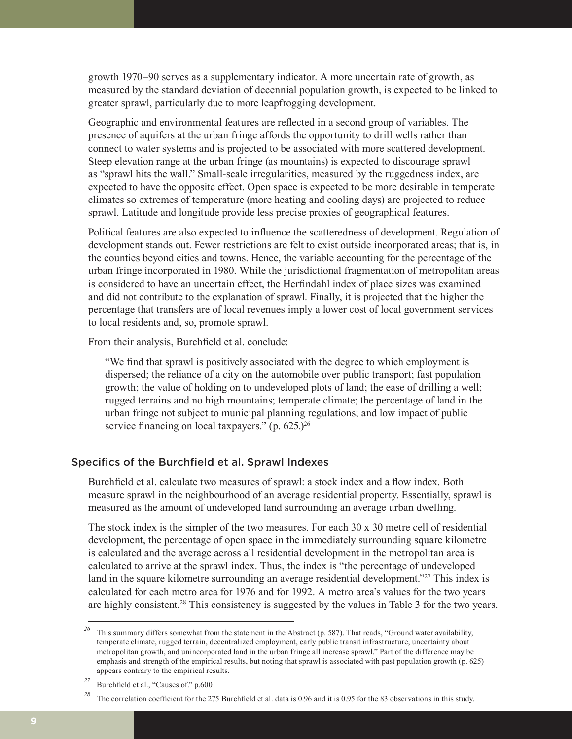growth 1970–90 serves as a supplementary indicator. A more uncertain rate of growth, as measured by the standard deviation of decennial population growth, is expected to be linked to greater sprawl, particularly due to more leapfrogging development.

Geographic and environmental features are reflected in a second group of variables. The presence of aquifers at the urban fringe affords the opportunity to drill wells rather than connect to water systems and is projected to be associated with more scattered development. Steep elevation range at the urban fringe (as mountains) is expected to discourage sprawl as "sprawl hits the wall." Small-scale irregularities, measured by the ruggedness index, are expected to have the opposite effect. Open space is expected to be more desirable in temperate climates so extremes of temperature (more heating and cooling days) are projected to reduce sprawl. Latitude and longitude provide less precise proxies of geographical features.

Political features are also expected to influence the scatteredness of development. Regulation of development stands out. Fewer restrictions are felt to exist outside incorporated areas; that is, in the counties beyond cities and towns. Hence, the variable accounting for the percentage of the urban fringe incorporated in 1980. While the jurisdictional fragmentation of metropolitan areas is considered to have an uncertain effect, the Herfindahl index of place sizes was examined and did not contribute to the explanation of sprawl. Finally, it is projected that the higher the percentage that transfers are of local revenues imply a lower cost of local government services to local residents and, so, promote sprawl.

From their analysis, Burchfield et al. conclude:

"We find that sprawl is positively associated with the degree to which employment is dispersed; the reliance of a city on the automobile over public transport; fast population growth; the value of holding on to undeveloped plots of land; the ease of drilling a well; rugged terrains and no high mountains; temperate climate; the percentage of land in the urban fringe not subject to municipal planning regulations; and low impact of public service financing on local taxpayers."  $(p. 625.)^{26}$ 

## Specifics of the Burchfield et al. Sprawl Indexes

Burchfield et al. calculate two measures of sprawl: a stock index and a flow index. Both measure sprawl in the neighbourhood of an average residential property. Essentially, sprawl is measured as the amount of undeveloped land surrounding an average urban dwelling.

The stock index is the simpler of the two measures. For each  $30 \times 30$  metre cell of residential development, the percentage of open space in the immediately surrounding square kilometre is calculated and the average across all residential development in the metropolitan area is calculated to arrive at the sprawl index. Thus, the index is "the percentage of undeveloped land in the square kilometre surrounding an average residential development."<sup>27</sup> This index is calculated for each metro area for 1976 and for 1992. A metro area's values for the two years are highly consistent.<sup>28</sup> This consistency is suggested by the values in Table 3 for the two years.

*<sup>26</sup>* This summary differs somewhat from the statement in the Abstract (p. 587). That reads, "Ground water availability, temperate climate, rugged terrain, decentralized employment, early public transit infrastructure, uncertainty about metropolitan growth, and unincorporated land in the urban fringe all increase sprawl." Part of the difference may be emphasis and strength of the empirical results, but noting that sprawl is associated with past population growth (p. 625) appears contrary to the empirical results.

*<sup>27</sup>* Burchfield et al., "Causes of." p.600

<sup>&</sup>lt;sup>28</sup> The correlation coefficient for the 275 Burchfield et al. data is 0.96 and it is 0.95 for the 83 observations in this study.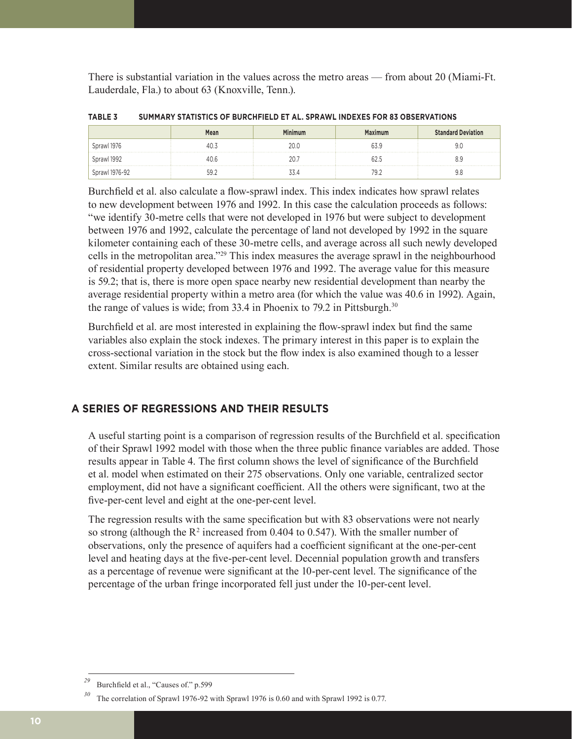There is substantial variation in the values across the metro areas — from about 20 (Miami-Ft. Lauderdale, Fla.) to about 63 (Knoxville, Tenn.).

|                | Mean | imum. |       |  |
|----------------|------|-------|-------|--|
| wl 1976        |      |       |       |  |
| awl 1992       |      |       |       |  |
| Sprawl 1976-92 |      |       | ے. لا |  |

**TABLE 3 SUMMARY STATISTICS OF BURCHFIELD ET AL. SPRAWL INDEXES FOR 83 OBSERVATIONS**

Burchfield et al. also calculate a flow-sprawl index. This index indicates how sprawl relates to new development between 1976 and 1992. In this case the calculation proceeds as follows: "we identify 30-metre cells that were not developed in 1976 but were subject to development between 1976 and 1992, calculate the percentage of land not developed by 1992 in the square kilometer containing each of these 30-metre cells, and average across all such newly developed cells in the metropolitan area."29 This index measures the average sprawl in the neighbourhood of residential property developed between 1976 and 1992. The average value for this measure is 59.2; that is, there is more open space nearby new residential development than nearby the average residential property within a metro area (for which the value was 40.6 in 1992). Again, the range of values is wide; from 33.4 in Phoenix to 79.2 in Pittsburgh. $30$ 

Burchfield et al. are most interested in explaining the flow-sprawl index but find the same variables also explain the stock indexes. The primary interest in this paper is to explain the cross-sectional variation in the stock but the flow index is also examined though to a lesser extent. Similar results are obtained using each.

# **A SERIES OF REGRESSIONS AND THEIR RESULTS**

A useful starting point is a comparison of regression results of the Burchfield et al. specification of their Sprawl 1992 model with those when the three public finance variables are added. Those results appear in Table 4. The first column shows the level of significance of the Burchfield et al. model when estimated on their 275 observations. Only one variable, centralized sector employment, did not have a significant coefficient. All the others were significant, two at the five-per-cent level and eight at the one-per-cent level.

The regression results with the same specification but with 83 observations were not nearly so strong (although the  $\mathbb{R}^2$  increased from 0.404 to 0.547). With the smaller number of observations, only the presence of aquifers had a coefficient significant at the one-per-cent level and heating days at the five-per-cent level. Decennial population growth and transfers as a percentage of revenue were significant at the 10-per-cent level. The significance of the percentage of the urban fringe incorporated fell just under the 10-per-cent level.

*<sup>29</sup>* Burchfield et al., "Causes of." p.599

*<sup>30</sup>* The correlation of Sprawl 1976-92 with Sprawl 1976 is 0.60 and with Sprawl 1992 is 0.77.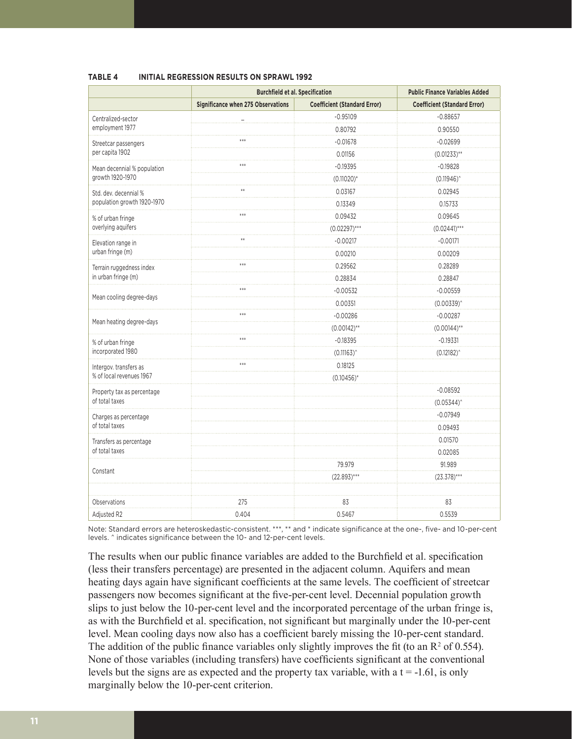|                             | <b>Burchfield et al. Specification</b> |                                     | <b>Public Finance Variables Added</b> |
|-----------------------------|----------------------------------------|-------------------------------------|---------------------------------------|
|                             | Significance when 275 Observations     | <b>Coefficient (Standard Error)</b> | <b>Coefficient (Standard Error)</b>   |
| Centralized-sector          |                                        | $-0.95109$                          | $-0.88657$                            |
| employment 1977             |                                        | 0.80792                             | 0.90550                               |
| Streetcar passengers        | ***                                    | $-0.01678$                          | $-0.02699$                            |
| per capita 1902             |                                        | 0.01156                             | $(0.01233)$ **                        |
| Mean decennial % population | ***                                    | $-0.19395$                          | $-0.19828$                            |
| arowth 1920-1970            |                                        | $(0.11020)^*$                       | $(0.11946)^{^{\circ}}$                |
| Std. dev. decennial %       | **                                     | 0.03167                             | 0.02945                               |
| population growth 1920-1970 |                                        | 0.13349                             | 0.15733                               |
| % of urban fringe           | ***                                    | 0.09432                             | 0.09645                               |
| overlying aquifers          |                                        | $(0.02297)$ ***                     | $(0.02441)$ ***                       |
| Elevation range in          |                                        | $-0.00217$                          | $-0.00171$                            |
| urban fringe (m)            |                                        | 0.00210                             | 0.00209                               |
| Terrain ruggedness index    |                                        | 0.29562                             | 0.28289                               |
| in urban fringe (m)         |                                        | 0.28834                             | 0.28847                               |
| Mean cooling degree-days    | e si                                   | $-0.00532$                          | $-0.00559$                            |
|                             |                                        | 0.00351                             | $(0.00339)^{6}$                       |
| Mean heating degree-days    | ***                                    | $-0.00286$                          | $-0.00287$                            |
|                             |                                        | $(0.00142)$ **                      | $(0.00144)$ **                        |
| % of urban fringe           | ***                                    | $-0.18395$                          | $-0.19331$                            |
| incorporated 1980           |                                        | $(0.11163)^{6}$                     | $(0.12182)^{6}$                       |
| Intergov. transfers as      | 222                                    | 0.18125                             |                                       |
| % of local revenues 1967    |                                        | $(0.10456)^*$                       |                                       |
| Property tax as percentage  |                                        |                                     | $-0.08592$                            |
| of total taxes              |                                        |                                     | $(0.05344)^{^{\circ}}$                |
| Charges as percentage       |                                        |                                     | $-0.07949$                            |
| of total taxes              |                                        |                                     | 0.09493                               |
| Transfers as percentage     |                                        |                                     | 0.01570                               |
| of total taxes              |                                        |                                     | 0.02085                               |
|                             |                                        | 79.979                              | 91.989                                |
| Constant                    |                                        | $(22.893)***$                       | $(23.378)***$                         |
|                             |                                        |                                     |                                       |
| Observations                | 275                                    | 83                                  | 83                                    |
| Adjusted R2                 | 0.404                                  | 0.5467                              | 0.5539                                |

#### **TABLE 4 INITIAL REGRESSION RESULTS ON SPRAWL 1992**

Note: Standard errors are heteroskedastic-consistent. \*\*\*, \*\* and \* indicate significance at the one-, five- and 10-per-cent levels. ^ indicates significance between the 10- and 12-per-cent levels.

The results when our public finance variables are added to the Burchfield et al. specification (less their transfers percentage) are presented in the adjacent column. Aquifers and mean heating days again have significant coefficients at the same levels. The coefficient of streetcar passengers now becomes significant at the five-per-cent level. Decennial population growth slips to just below the 10-per-cent level and the incorporated percentage of the urban fringe is, as with the Burchfield et al. specification, not significant but marginally under the 10-per-cent level. Mean cooling days now also has a coefficient barely missing the 10-per-cent standard. The addition of the public finance variables only slightly improves the fit (to an  $\mathbb{R}^2$  of 0.554). None of those variables (including transfers) have coefficients significant at the conventional levels but the signs are as expected and the property tax variable, with a  $t = -1.61$ , is only marginally below the 10-per-cent criterion.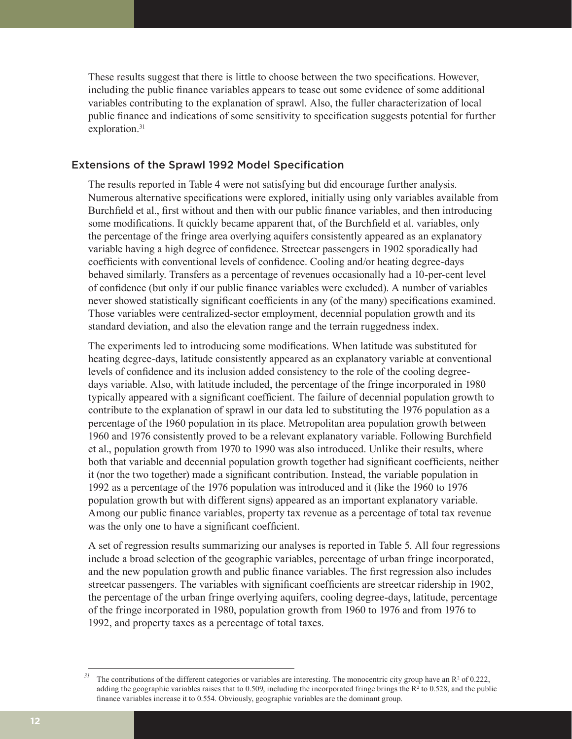These results suggest that there is little to choose between the two specifications. However, including the public finance variables appears to tease out some evidence of some additional variables contributing to the explanation of sprawl. Also, the fuller characterization of local public finance and indications of some sensitivity to specification suggests potential for further exploration.<sup>31</sup>

## Extensions of the Sprawl 1992 Model Specification

The results reported in Table 4 were not satisfying but did encourage further analysis. Numerous alternative specifications were explored, initially using only variables available from Burchfield et al., first without and then with our public finance variables, and then introducing some modifications. It quickly became apparent that, of the Burchfield et al. variables, only the percentage of the fringe area overlying aquifers consistently appeared as an explanatory variable having a high degree of confidence. Streetcar passengers in 1902 sporadically had coefficients with conventional levels of confidence. Cooling and/or heating degree-days behaved similarly. Transfers as a percentage of revenues occasionally had a 10-per-cent level of confidence (but only if our public finance variables were excluded). A number of variables never showed statistically significant coefficients in any (of the many) specifications examined. Those variables were centralized-sector employment, decennial population growth and its standard deviation, and also the elevation range and the terrain ruggedness index.

The experiments led to introducing some modifications. When latitude was substituted for heating degree-days, latitude consistently appeared as an explanatory variable at conventional levels of confidence and its inclusion added consistency to the role of the cooling degreedays variable. Also, with latitude included, the percentage of the fringe incorporated in 1980 typically appeared with a significant coefficient. The failure of decennial population growth to contribute to the explanation of sprawl in our data led to substituting the 1976 population as a percentage of the 1960 population in its place. Metropolitan area population growth between 1960 and 1976 consistently proved to be a relevant explanatory variable. Following Burchfield et al., population growth from 1970 to 1990 was also introduced. Unlike their results, where both that variable and decennial population growth together had significant coefficients, neither it (nor the two together) made a significant contribution. Instead, the variable population in 1992 as a percentage of the 1976 population was introduced and it (like the 1960 to 1976 population growth but with different signs) appeared as an important explanatory variable. Among our public finance variables, property tax revenue as a percentage of total tax revenue was the only one to have a significant coefficient.

A set of regression results summarizing our analyses is reported in Table 5. All four regressions include a broad selection of the geographic variables, percentage of urban fringe incorporated, and the new population growth and public finance variables. The first regression also includes streetcar passengers. The variables with significant coefficients are streetcar ridership in 1902, the percentage of the urban fringe overlying aquifers, cooling degree-days, latitude, percentage of the fringe incorporated in 1980, population growth from 1960 to 1976 and from 1976 to 1992, and property taxes as a percentage of total taxes.

<sup>&</sup>lt;sup>31</sup> The contributions of the different categories or variables are interesting. The monocentric city group have an  $\mathbb{R}^2$  of 0.222, adding the geographic variables raises that to 0.509, including the incorporated fringe brings the  $R<sup>2</sup>$  to 0.528, and the public finance variables increase it to 0.554. Obviously, geographic variables are the dominant group.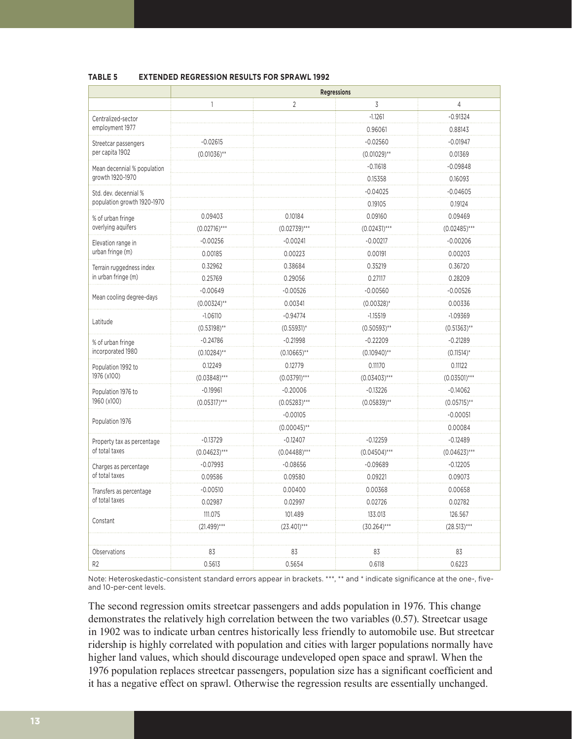|                             | <b>Regressions</b> |                 |                 |                 |
|-----------------------------|--------------------|-----------------|-----------------|-----------------|
|                             | $\mathbf{1}$       | $\overline{2}$  | 3               | $\overline{4}$  |
| Centralized-sector          |                    |                 | $-1.1261$       | $-0.91324$      |
| employment 1977             |                    |                 | 0.96061         | 0.88143         |
| Streetcar passengers        | $-0.02615$         |                 | $-0.02560$      | $-0.01947$      |
| per capita 1902             | $(0.01036)$ **     |                 | $(0.01029)$ **  | 0.01369         |
| Mean decennial % population |                    |                 | $-0.11618$      | $-0.09848$      |
| arowth 1920-1970            |                    |                 | 0.15358         | 0.16093         |
| Std. dev. decennial %       |                    |                 | $-0.04025$      | $-0.04605$      |
| population growth 1920-1970 |                    |                 | 0.19105         | 0.19124         |
| % of urban fringe           | 0.09403            | 0.10184         | 0.09160         | 0.09469         |
| overlying aquifers          | $(0.02716)$ ***    | $(0.02739)$ *** | $(0.02431)***$  | $(0.02485)$ *** |
| Elevation range in          | $-0.00256$         | $-0.00241$      | $-0.00217$      | $-0.00206$      |
| urban fringe (m)            | 0.00185            | 0.00223         | 0.00191         | 0.00203         |
| Terrain ruggedness index    | 0.32962            | 0.38684         | 0.35219         | 0.36720         |
| in urban fringe (m)         | 0.25769            | 0.29056         | 0.27117         | 0.28209         |
|                             | $-0.00649$         | $-0.00526$      | $-0.00560$      | $-0.00526$      |
| Mean cooling degree-days    | $(0.00324)$ **     | 0.00341         | $(0.00328)^{*}$ | 0.00336         |
|                             | $-1.06110$         | $-0.94774$      | $-1.15519$      | $-1.09369$      |
| Latitude                    | $(0.53198)$ **     | $(0.55931)^*$   | $(0.50593)$ **  | $(0.51363)$ **  |
| % of urban fringe           | $-0.24786$         | $-0.21998$      | $-0.22209$      | $-0.21289$      |
| incorporated 1980           | $(0.10284)$ **     | $(0.10665)$ **  | $(0.10940)$ **  | $(0.11514)^*$   |
| Population 1992 to          | 0.12249            | 0.12779         | 0.11170         | 0.11122         |
| 1976 (x100)                 | $(0.03848)$ ***    | $(0.03791)$ *** | $(0.03403)$ *** | $(0.03501)$ *** |
| Population 1976 to          | $-0.19961$         | $-0.20006$      | $-0.13226$      | $-0.14062$      |
| 1960 (x100)                 | $(0.05317)$ ***    | $(0.05283)$ *** | $(0.05839)$ **  | $(0.05715)$ **  |
|                             |                    | $-0.00105$      |                 | $-0.00051$      |
| Population 1976             |                    | $(0.00045)$ **  |                 | 0.00084         |
| Property tax as percentage  | $-0.13729$         | $-0.12407$      | $-0.12259$      | $-0.12489$      |
| of total taxes              | $(0.04623)$ ***    | $(0.04488)$ *** | $(0.04504)$ *** | $(0.04623)$ *** |
| Charges as percentage       | $-0.07993$         | $-0.08656$      | $-0.09689$      | $-0.12205$      |
| of total taxes              | 0.09586            | 0.09580         | 0.09221         | 0.09073         |
| Transfers as percentage     | $-0.00510$         | 0.00400         | 0.00368         | 0.00658         |
| of total taxes              | 0.02987            | 0.02997         | 0.02726         | 0.02782         |
|                             | 111.075            | 101.489         | 133.013         | 126.567         |
| Constant                    | $(21.499)***$      | $(23.401)***$   | $(30.264)$ ***  | $(28.513)***$   |
|                             |                    |                 |                 |                 |
| Observations                | 83                 | 83              | 83              | 83              |
| R <sub>2</sub>              | 0.5613             | 0.5654          | 0.6118          | 0.6223          |

#### **TABLE 5 EXTENDED REGRESSION RESULTS FOR SPRAWL 1992**

Note: Heteroskedastic-consistent standard errors appear in brackets. \*\*\*, \*\* and \* indicate significance at the one-, fiveand 10-per-cent levels.

The second regression omits streetcar passengers and adds population in 1976. This change demonstrates the relatively high correlation between the two variables (0.57). Streetcar usage in 1902 was to indicate urban centres historically less friendly to automobile use. But streetcar ridership is highly correlated with population and cities with larger populations normally have higher land values, which should discourage undeveloped open space and sprawl. When the 1976 population replaces streetcar passengers, population size has a significant coefficient and it has a negative effect on sprawl. Otherwise the regression results are essentially unchanged.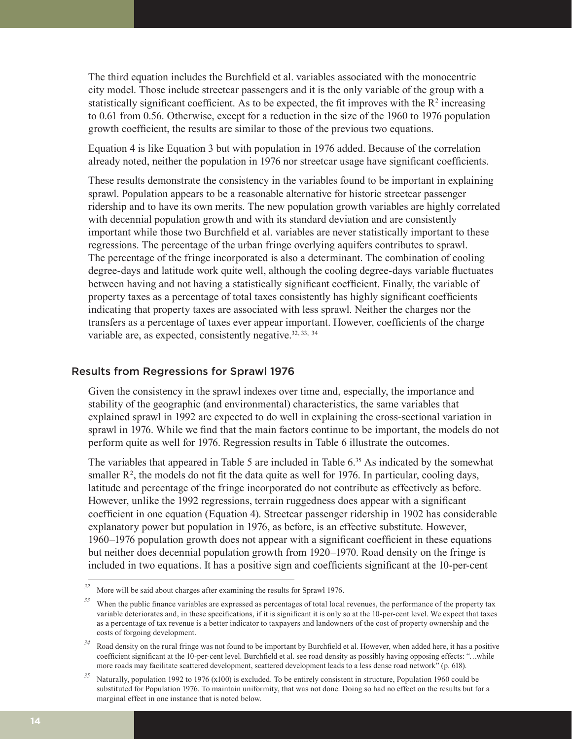The third equation includes the Burchfield et al. variables associated with the monocentric city model. Those include streetcar passengers and it is the only variable of the group with a statistically significant coefficient. As to be expected, the fit improves with the  $\mathbb{R}^2$  increasing to 0.61 from 0.56. Otherwise, except for a reduction in the size of the 1960 to 1976 population growth coefficient, the results are similar to those of the previous two equations.

Equation 4 is like Equation 3 but with population in 1976 added. Because of the correlation already noted, neither the population in 1976 nor streetcar usage have significant coefficients.

These results demonstrate the consistency in the variables found to be important in explaining sprawl. Population appears to be a reasonable alternative for historic streetcar passenger ridership and to have its own merits. The new population growth variables are highly correlated with decennial population growth and with its standard deviation and are consistently important while those two Burchfield et al. variables are never statistically important to these regressions. The percentage of the urban fringe overlying aquifers contributes to sprawl. The percentage of the fringe incorporated is also a determinant. The combination of cooling degree-days and latitude work quite well, although the cooling degree-days variable fluctuates between having and not having a statistically significant coefficient. Finally, the variable of property taxes as a percentage of total taxes consistently has highly significant coefficients indicating that property taxes are associated with less sprawl. Neither the charges nor the transfers as a percentage of taxes ever appear important. However, coefficients of the charge variable are, as expected, consistently negative.<sup>32, 33, 34</sup>

#### Results from Regressions for Sprawl 1976

Given the consistency in the sprawl indexes over time and, especially, the importance and stability of the geographic (and environmental) characteristics, the same variables that explained sprawl in 1992 are expected to do well in explaining the cross-sectional variation in sprawl in 1976. While we find that the main factors continue to be important, the models do not perform quite as well for 1976. Regression results in Table 6 illustrate the outcomes.

The variables that appeared in Table 5 are included in Table 6.35 As indicated by the somewhat smaller  $\mathbb{R}^2$ , the models do not fit the data quite as well for 1976. In particular, cooling days, latitude and percentage of the fringe incorporated do not contribute as effectively as before. However, unlike the 1992 regressions, terrain ruggedness does appear with a significant coefficient in one equation (Equation 4). Streetcar passenger ridership in 1902 has considerable explanatory power but population in 1976, as before, is an effective substitute. However, 1960–1976 population growth does not appear with a significant coefficient in these equations but neither does decennial population growth from 1920–1970. Road density on the fringe is included in two equations. It has a positive sign and coefficients significant at the 10-per-cent

*<sup>32</sup>* More will be said about charges after examining the results for Sprawl 1976.

<sup>&</sup>lt;sup>33</sup> When the public finance variables are expressed as percentages of total local revenues, the performance of the property tax variable deteriorates and, in these specifications, if it is significant it is only so at the 10-per-cent level. We expect that taxes as a percentage of tax revenue is a better indicator to taxpayers and landowners of the cost of property ownership and the costs of forgoing development.

*<sup>34</sup>* Road density on the rural fringe was not found to be important by Burchfield et al. However, when added here, it has a positive coefficient significant at the 10-per-cent level. Burchfield et al. see road density as possibly having opposing effects: "…while more roads may facilitate scattered development, scattered development leads to a less dense road network" (p. 618).

<sup>&</sup>lt;sup>35</sup> Naturally, population 1992 to 1976 (x100) is excluded. To be entirely consistent in structure, Population 1960 could be substituted for Population 1976. To maintain uniformity, that was not done. Doing so had no effect on the results but for a marginal effect in one instance that is noted below.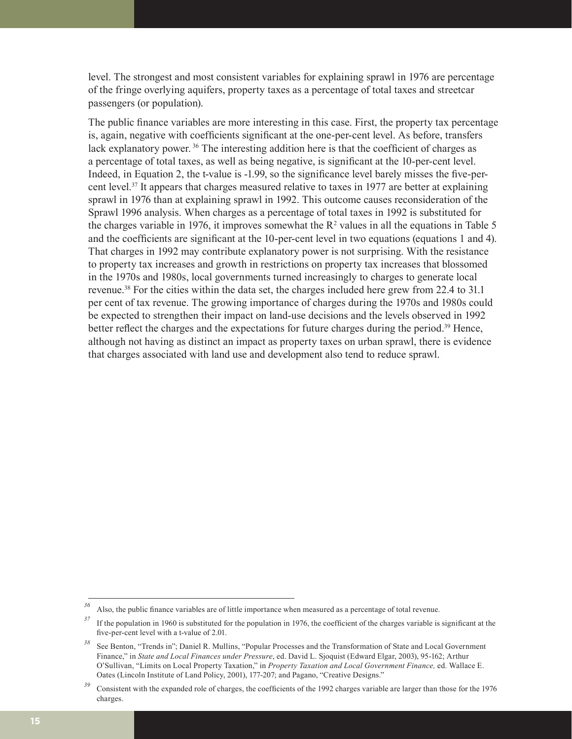level. The strongest and most consistent variables for explaining sprawl in 1976 are percentage of the fringe overlying aquifers, property taxes as a percentage of total taxes and streetcar passengers (or population).

The public finance variables are more interesting in this case. First, the property tax percentage is, again, negative with coefficients significant at the one-per-cent level. As before, transfers lack explanatory power.<sup>36</sup> The interesting addition here is that the coefficient of charges as a percentage of total taxes, as well as being negative, is significant at the 10-per-cent level. Indeed, in Equation 2, the t-value is -1.99, so the significance level barely misses the five-percent level.37 It appears that charges measured relative to taxes in 1977 are better at explaining sprawl in 1976 than at explaining sprawl in 1992. This outcome causes reconsideration of the Sprawl 1996 analysis. When charges as a percentage of total taxes in 1992 is substituted for the charges variable in 1976, it improves somewhat the  $\mathbb{R}^2$  values in all the equations in Table 5 and the coefficients are significant at the 10-per-cent level in two equations (equations 1 and 4). That charges in 1992 may contribute explanatory power is not surprising. With the resistance to property tax increases and growth in restrictions on property tax increases that blossomed in the 1970s and 1980s, local governments turned increasingly to charges to generate local revenue.<sup>38</sup> For the cities within the data set, the charges included here grew from 22.4 to 31.1 per cent of tax revenue. The growing importance of charges during the 1970s and 1980s could be expected to strengthen their impact on land-use decisions and the levels observed in 1992 better reflect the charges and the expectations for future charges during the period.<sup>39</sup> Hence, although not having as distinct an impact as property taxes on urban sprawl, there is evidence that charges associated with land use and development also tend to reduce sprawl.

*<sup>36</sup>* Also, the public finance variables are of little importance when measured as a percentage of total revenue.

<sup>&</sup>lt;sup>37</sup> If the population in 1960 is substituted for the population in 1976, the coefficient of the charges variable is significant at the five-per-cent level with a t-value of 2.01.

*<sup>38</sup>* See Benton, "Trends in"; Daniel R. Mullins, "Popular Processes and the Transformation of State and Local Government Finance," in *State and Local Finances under Pressure*, ed. David L. Sjoquist (Edward Elgar, 2003), 95-162; Arthur O'Sullivan, "Limits on Local Property Taxation," in *Property Taxation and Local Government Finance,* ed. Wallace E. Oates (Lincoln Institute of Land Policy, 2001), 177-207; and Pagano, "Creative Designs."

<sup>&</sup>lt;sup>39</sup> Consistent with the expanded role of charges, the coefficients of the 1992 charges variable are larger than those for the 1976 charges.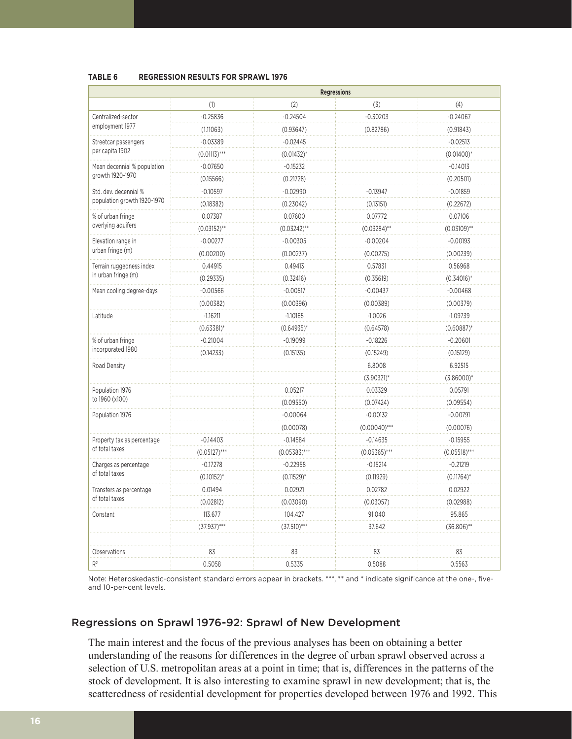#### **TABLE 6 REGRESSION RESULTS FOR SPRAWL 1976**

|                             | <b>Regressions</b> |                |                 |                 |
|-----------------------------|--------------------|----------------|-----------------|-----------------|
|                             | (1)                | (2)            | (3)             | (4)             |
| Centralized-sector          | $-0.25836$         | $-0.24504$     | $-0.30203$      | $-0.24067$      |
| employment 1977             | (1.11063)          | (0.93647)      | (0.82786)       | (0.91843)       |
| Streetcar passengers        | $-0.03389$         | $-0.02445$     |                 | $-0.02513$      |
| per capita 1902             | $(0.01113)***$     | $(0.01432)^*$  |                 | $(0.01400)^*$   |
| Mean decennial % population | $-0.07650$         | $-0.15232$     |                 | $-0.14013$      |
| growth 1920-1970            | (0.15566)          | (0.21728)      |                 | (0.20501)       |
| Std. dev. decennial %       | $-0.10597$         | $-0.02990$     | $-0.13947$      | $-0.01859$      |
| population growth 1920-1970 | (0.18382)          | (0.23042)      | (0.13151)       | (0.22672)       |
| % of urban fringe           | 0.07387            | 0.07600        | 0.07772         | 0.07106         |
| overlying aquifers          | $(0.03152)$ **     | $(0.03242)$ ** | $(0.03284)$ **  | $(0.03109)$ **  |
| Elevation range in          | $-0.00277$         | $-0.00305$     | $-0.00204$      | $-0.00193$      |
| urban fringe (m)            | (0.00200)          | (0.00237)      | (0.00275)       | (0.00239)       |
| Terrain ruggedness index    | 0.44915            | 0.49413        | 0.57831         | 0.56968         |
| in urban fringe (m)         | (0.29335)          | (0.32416)      | (0.35619)       | $(0.34016)^*$   |
| Mean cooling degree-days    | $-0.00566$         | $-0.00517$     | $-0.00437$      | $-0.00468$      |
|                             | (0.00382)          | (0.00396)      | (0.00389)       | (0.00379)       |
| Latitude                    | $-1.16211$         | $-1.10165$     | $-1.0026$       | $-1.09739$      |
|                             | $(0.63381)^*$      | $(0.64935)^*$  | (0.64578)       | $(0.60887)^*$   |
| % of urban fringe           | $-0.21004$         | $-0.19099$     | $-0.18226$      | $-0.20601$      |
| incorporated 1980           | (0.14233)          | (0.15135)      | (0.15249)       | (0.15129)       |
| Road Density                |                    |                | 6.8008          | 6.92515         |
|                             |                    |                | $(3.90321)^*$   | $(3.86000)^*$   |
| Population 1976             |                    | 0.05217        | 0.03329         | 0.05791         |
| to 1960 (x100)              |                    | (0.09550)      | (0.07424)       | (0.09554)       |
| Population 1976             |                    | $-0.00064$     | $-0.00132$      | $-0.00791$      |
|                             |                    | (0.00078)      | $(0.00040)$ *** | (0.00076)       |
| Property tax as percentage  | $-0.14403$         | $-0.14584$     | $-0.14635$      | $-0.15955$      |
| of total taxes              | $(0.05127)$ ***    | $(0.05383)***$ | $(0.05365)$ *** | $(0.05518)$ *** |
| Charges as percentage       | $-0.17278$         | $-0.22958$     | $-0.15214$      | $-0.21219$      |
| of total taxes              | $(0.10152)^*$      | $(0.11529)^*$  | (0.11929)       | $(0.11764)^*$   |
| Transfers as percentage     | 0.01494            | 0.02921        | 0.02782         | 0.02922         |
| of total taxes              | (0.02812)          | (0.03090)      | (0.03057)       | (0.02988)       |
| Constant                    | 113.677            | 104.427        | 91.040          | 95.865          |
|                             | $(37.937)$ ***     | $(37.510)$ *** | 37.642          | $(36.806)$ **   |
|                             |                    |                |                 |                 |
| Observations                | 83                 | 83             | 83              | 83              |
| R <sup>2</sup>              | 0.5058             | 0.5335         | 0.5088          | 0.5563          |

Note: Heteroskedastic-consistent standard errors appear in brackets. \*\*\*, \*\* and \* indicate significance at the one-, fiveand 10-per-cent levels.

#### Regressions on Sprawl 1976-92: Sprawl of New Development

The main interest and the focus of the previous analyses has been on obtaining a better understanding of the reasons for differences in the degree of urban sprawl observed across a selection of U.S. metropolitan areas at a point in time; that is, differences in the patterns of the stock of development. It is also interesting to examine sprawl in new development; that is, the scatteredness of residential development for properties developed between 1976 and 1992. This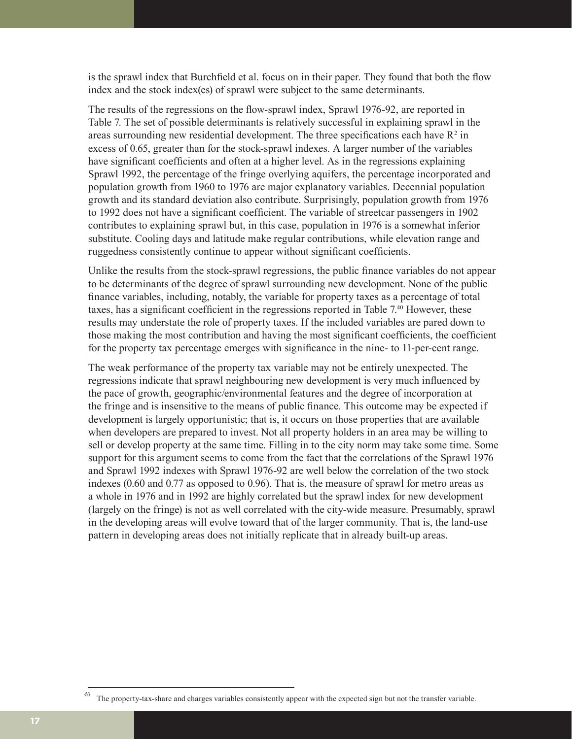is the sprawl index that Burchfield et al. focus on in their paper. They found that both the flow index and the stock index(es) of sprawl were subject to the same determinants.

The results of the regressions on the flow-sprawl index, Sprawl 1976-92, are reported in Table 7. The set of possible determinants is relatively successful in explaining sprawl in the areas surrounding new residential development. The three specifications each have  $R<sup>2</sup>$  in excess of 0.65, greater than for the stock-sprawl indexes. A larger number of the variables have significant coefficients and often at a higher level. As in the regressions explaining Sprawl 1992, the percentage of the fringe overlying aquifers, the percentage incorporated and population growth from 1960 to 1976 are major explanatory variables. Decennial population growth and its standard deviation also contribute. Surprisingly, population growth from 1976 to 1992 does not have a significant coefficient. The variable of streetcar passengers in 1902 contributes to explaining sprawl but, in this case, population in 1976 is a somewhat inferior substitute. Cooling days and latitude make regular contributions, while elevation range and ruggedness consistently continue to appear without significant coefficients.

Unlike the results from the stock-sprawl regressions, the public finance variables do not appear to be determinants of the degree of sprawl surrounding new development. None of the public finance variables, including, notably, the variable for property taxes as a percentage of total taxes, has a significant coefficient in the regressions reported in Table  $7<sup>40</sup>$  However, these results may understate the role of property taxes. If the included variables are pared down to those making the most contribution and having the most significant coefficients, the coefficient for the property tax percentage emerges with significance in the nine- to 11-per-cent range.

The weak performance of the property tax variable may not be entirely unexpected. The regressions indicate that sprawl neighbouring new development is very much influenced by the pace of growth, geographic/environmental features and the degree of incorporation at the fringe and is insensitive to the means of public finance. This outcome may be expected if development is largely opportunistic; that is, it occurs on those properties that are available when developers are prepared to invest. Not all property holders in an area may be willing to sell or develop property at the same time. Filling in to the city norm may take some time. Some support for this argument seems to come from the fact that the correlations of the Sprawl 1976 and Sprawl 1992 indexes with Sprawl 1976-92 are well below the correlation of the two stock indexes (0.60 and 0.77 as opposed to 0.96). That is, the measure of sprawl for metro areas as a whole in 1976 and in 1992 are highly correlated but the sprawl index for new development (largely on the fringe) is not as well correlated with the city-wide measure. Presumably, sprawl in the developing areas will evolve toward that of the larger community. That is, the land-use pattern in developing areas does not initially replicate that in already built-up areas.

*<sup>40</sup>* The property-tax-share and charges variables consistently appear with the expected sign but not the transfer variable.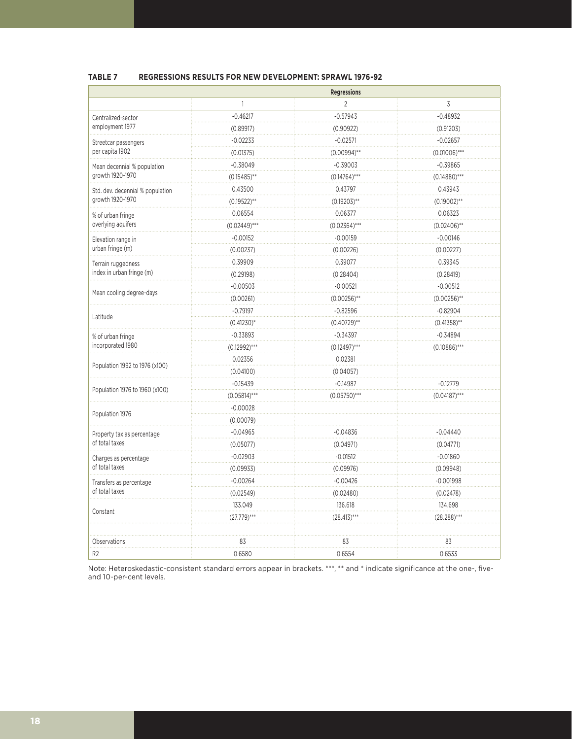|                                  | <b>Regressions</b> |                 |                 |
|----------------------------------|--------------------|-----------------|-----------------|
|                                  | $\mathbf{1}$       | $\overline{2}$  | 3               |
| Centralized-sector               | $-0.46217$         | $-0.57943$      | $-0.48932$      |
| employment 1977                  | (0.89917)          | (0.90922)       | (0.91203)       |
| Streetcar passengers             | $-0.02233$         | $-0.02571$      | $-0.02657$      |
| per capita 1902                  | (0.01375)          | $(0.00994)$ **  | $(0.01006)$ *** |
| Mean decennial % population      | $-0.38049$         | $-0.39003$      | $-0.39865$      |
| arowth 1920-1970                 | $(0.15485)$ **     | $(0.14764)$ *** | $(0.14880)$ *** |
| Std. dev. decennial % population | 0.43500            | 0.43797         | 0.43943         |
| arowth 1920-1970                 | $(0.19522)$ **     | $(0.19203)$ **  | $(0.19002)$ **  |
| % of urban fringe                | 0.06554            | 0.06377         | 0.06323         |
| overlying aquifers               | $(0.02449)$ ***    | $(0.02364)$ *** | $(0.02406)$ **  |
| Elevation range in               | $-0.00152$         | $-0.00159$      | $-0.00146$      |
| urban fringe (m)                 | (0.00237)          | (0.00226)       | (0.00227)       |
| Terrain ruggedness               | 0.39909            | 0.39077         | 0.39345         |
| index in urban fringe (m)        | (0.29198)          | (0.28404)       | (0.28419)       |
|                                  | $-0.00503$         | $-0.00521$      | $-0.00512$      |
| Mean cooling degree-days         | (0.00261)          | $(0.00256)$ **  | $(0.00256)$ **  |
|                                  | $-0.79197$         | $-0.82596$      | $-0.82904$      |
| Latitude                         | $(0.41230)^*$      | $(0.40729)$ **  | $(0.41358)$ **  |
| % of urban fringe                | $-0.33893$         | $-0.34397$      | $-0.34894$      |
| incorporated 1980                | $(0.12992)***$     | $(0.12497)$ *** | $(0.10886)$ *** |
|                                  | 0.02356            | 0.02381         |                 |
| Population 1992 to 1976 (x100)   | (0.04100)          | (0.04057)       |                 |
|                                  | $-0.15439$         | $-0.14987$      | $-0.12779$      |
| Population 1976 to 1960 (x100)   | $(0.05814)$ ***    | $(0.05750)$ *** | $(0.04187)$ *** |
|                                  | $-0.00028$         |                 |                 |
| Population 1976                  | (0.00079)          |                 |                 |
| Property tax as percentage       | $-0.04965$         | $-0.04836$      | $-0.04440$      |
| of total taxes                   | (0.05077)          | (0.04971)       | (0.04771)       |
| Charges as percentage            | $-0.02903$         | $-0.01512$      | $-0.01860$      |
| of total taxes                   | (0.09933)          | (0.09976)       | (0.09948)       |
| Transfers as percentage          | $-0.00264$         | $-0.00426$      | $-0.001998$     |
| of total taxes                   | (0.02549)          | (0.02480)       | (0.02478)       |
|                                  | 133.049            | 136.618         | 134.698         |
| Constant                         | $(27.779)***$      | $(28.413)***$   | $(28.288)***$   |
|                                  |                    |                 |                 |
| Observations                     | 83                 | 83              | 83              |
| R <sub>2</sub>                   | 0.6580             | 0.6554          | 0.6533          |

#### **TABLE 7 REGRESSIONS RESULTS FOR NEW DEVELOPMENT: SPRAWL 1976-92**

Note: Heteroskedastic-consistent standard errors appear in brackets. \*\*\*, \*\* and \* indicate significance at the one-, fiveand 10-per-cent levels.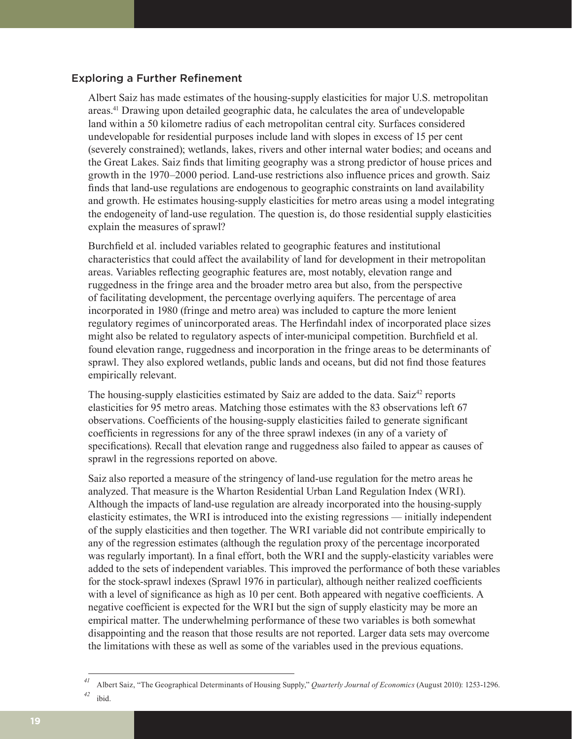# Exploring a Further Refinement

Albert Saiz has made estimates of the housing-supply elasticities for major U.S. metropolitan areas.41 Drawing upon detailed geographic data, he calculates the area of undevelopable land within a 50 kilometre radius of each metropolitan central city. Surfaces considered undevelopable for residential purposes include land with slopes in excess of 15 per cent (severely constrained); wetlands, lakes, rivers and other internal water bodies; and oceans and the Great Lakes. Saiz finds that limiting geography was a strong predictor of house prices and growth in the 1970–2000 period. Land-use restrictions also influence prices and growth. Saiz finds that land-use regulations are endogenous to geographic constraints on land availability and growth. He estimates housing-supply elasticities for metro areas using a model integrating the endogeneity of land-use regulation. The question is, do those residential supply elasticities explain the measures of sprawl?

Burchfield et al. included variables related to geographic features and institutional characteristics that could affect the availability of land for development in their metropolitan areas. Variables reflecting geographic features are, most notably, elevation range and ruggedness in the fringe area and the broader metro area but also, from the perspective of facilitating development, the percentage overlying aquifers. The percentage of area incorporated in 1980 (fringe and metro area) was included to capture the more lenient regulatory regimes of unincorporated areas. The Herfindahl index of incorporated place sizes might also be related to regulatory aspects of inter-municipal competition. Burchfield et al. found elevation range, ruggedness and incorporation in the fringe areas to be determinants of sprawl. They also explored wetlands, public lands and oceans, but did not find those features empirically relevant.

The housing-supply elasticities estimated by Saiz are added to the data. Saiz<sup>42</sup> reports elasticities for 95 metro areas. Matching those estimates with the 83 observations left 67 observations. Coefficients of the housing-supply elasticities failed to generate significant coefficients in regressions for any of the three sprawl indexes (in any of a variety of specifications). Recall that elevation range and ruggedness also failed to appear as causes of sprawl in the regressions reported on above.

Saiz also reported a measure of the stringency of land-use regulation for the metro areas he analyzed. That measure is the Wharton Residential Urban Land Regulation Index (WRI). Although the impacts of land-use regulation are already incorporated into the housing-supply elasticity estimates, the WRI is introduced into the existing regressions — initially independent of the supply elasticities and then together. The WRI variable did not contribute empirically to any of the regression estimates (although the regulation proxy of the percentage incorporated was regularly important). In a final effort, both the WRI and the supply-elasticity variables were added to the sets of independent variables. This improved the performance of both these variables for the stock-sprawl indexes (Sprawl 1976 in particular), although neither realized coefficients with a level of significance as high as 10 per cent. Both appeared with negative coefficients. A negative coefficient is expected for the WRI but the sign of supply elasticity may be more an empirical matter. The underwhelming performance of these two variables is both somewhat disappointing and the reason that those results are not reported. Larger data sets may overcome the limitations with these as well as some of the variables used in the previous equations.

*<sup>41</sup>* Albert Saiz, "The Geographical Determinants of Housing Supply," *Quarterly Journal of Economics* (August 2010): 1253-1296. *<sup>42</sup>* ibid.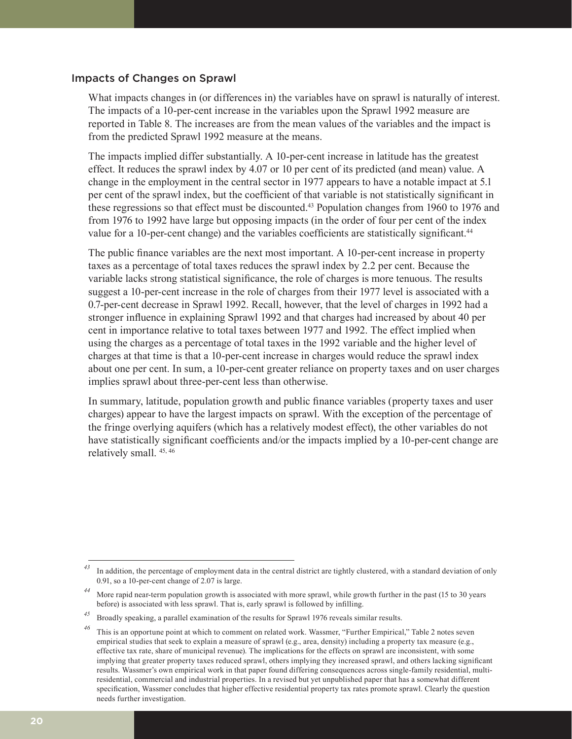## Impacts of Changes on Sprawl

What impacts changes in (or differences in) the variables have on sprawl is naturally of interest. The impacts of a 10-per-cent increase in the variables upon the Sprawl 1992 measure are reported in Table 8. The increases are from the mean values of the variables and the impact is from the predicted Sprawl 1992 measure at the means.

The impacts implied differ substantially. A 10-per-cent increase in latitude has the greatest effect. It reduces the sprawl index by 4.07 or 10 per cent of its predicted (and mean) value. A change in the employment in the central sector in 1977 appears to have a notable impact at 5.1 per cent of the sprawl index, but the coefficient of that variable is not statistically significant in these regressions so that effect must be discounted.43 Population changes from 1960 to 1976 and from 1976 to 1992 have large but opposing impacts (in the order of four per cent of the index value for a 10-per-cent change) and the variables coefficients are statistically significant.<sup>44</sup>

The public finance variables are the next most important. A 10-per-cent increase in property taxes as a percentage of total taxes reduces the sprawl index by 2.2 per cent. Because the variable lacks strong statistical significance, the role of charges is more tenuous. The results suggest a 10-per-cent increase in the role of charges from their 1977 level is associated with a 0.7-per-cent decrease in Sprawl 1992. Recall, however, that the level of charges in 1992 had a stronger influence in explaining Sprawl 1992 and that charges had increased by about 40 per cent in importance relative to total taxes between 1977 and 1992. The effect implied when using the charges as a percentage of total taxes in the 1992 variable and the higher level of charges at that time is that a 10-per-cent increase in charges would reduce the sprawl index about one per cent. In sum, a 10-per-cent greater reliance on property taxes and on user charges implies sprawl about three-per-cent less than otherwise.

In summary, latitude, population growth and public finance variables (property taxes and user charges) appear to have the largest impacts on sprawl. With the exception of the percentage of the fringe overlying aquifers (which has a relatively modest effect), the other variables do not have statistically significant coefficients and/or the impacts implied by a 10-per-cent change are relatively small. 45, 46

*<sup>43</sup>* In addition, the percentage of employment data in the central district are tightly clustered, with a standard deviation of only 0.91, so a 10-per-cent change of 2.07 is large.

*<sup>44</sup>* More rapid near-term population growth is associated with more sprawl, while growth further in the past (15 to 30 years before) is associated with less sprawl. That is, early sprawl is followed by infilling.

*<sup>45</sup>* Broadly speaking, a parallel examination of the results for Sprawl 1976 reveals similar results.

<sup>&</sup>lt;sup>46</sup> This is an opportune point at which to comment on related work. Wassmer, "Further Empirical," Table 2 notes seven empirical studies that seek to explain a measure of sprawl (e.g., area, density) including a property tax measure (e.g., effective tax rate, share of municipal revenue). The implications for the effects on sprawl are inconsistent, with some implying that greater property taxes reduced sprawl, others implying they increased sprawl, and others lacking significant results. Wassmer's own empirical work in that paper found differing consequences across single-family residential, multiresidential, commercial and industrial properties. In a revised but yet unpublished paper that has a somewhat different specification, Wassmer concludes that higher effective residential property tax rates promote sprawl. Clearly the question needs further investigation.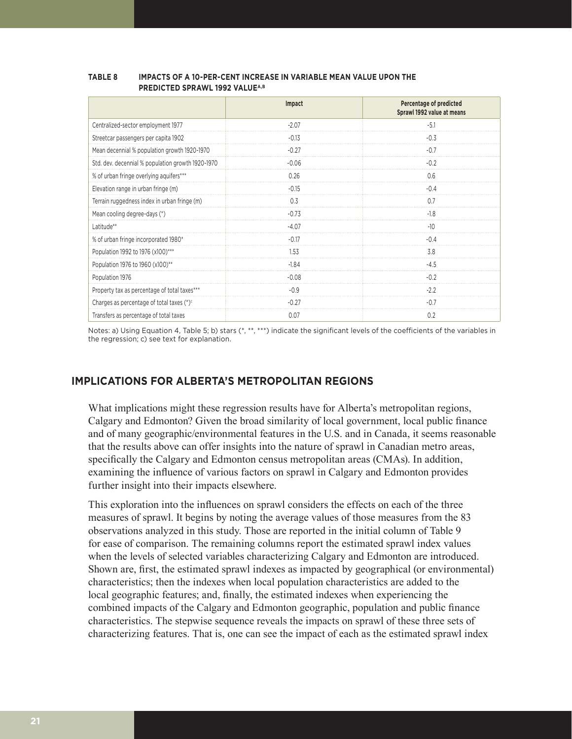|                                                       | Impact  | Percentage of predicted<br>Sprawl 1992 value at means |
|-------------------------------------------------------|---------|-------------------------------------------------------|
| Centralized-sector employment 1977                    | $-2.07$ | $-5.1$                                                |
| Streetcar passengers per capita 1902                  | $-0.13$ | $-0.3$                                                |
| Mean decennial % population growth 1920-1970          | $-0.27$ | -0.7                                                  |
| Std. dev. decennial % population growth 1920-1970     | $-0.06$ | $-0.2$                                                |
| % of urban fringe overlying aquifers***               | 0.26    | 0.6                                                   |
| Elevation range in urban fringe (m)                   | $-0.15$ | $-0.4$                                                |
| Terrain ruggedness index in urban fringe (m)          | 0.3     | 0.7                                                   |
| Mean cooling degree-days (*)                          | $-0.73$ | $-1.8$                                                |
| Latitude**                                            | $-4.07$ | -10                                                   |
| % of urban fringe incorporated 1980*                  | $-0.17$ | -0.4                                                  |
| Population 1992 to 1976 (x100)***                     | 1.53    | 3.8                                                   |
| Population 1976 to 1960 (x100)**                      | $-1.84$ | $-4.5$                                                |
| Population 1976                                       | $-0.08$ | $-0.2$                                                |
| Property tax as percentage of total taxes***          | $-0.9$  | $-2.2$                                                |
| Charges as percentage of total taxes (*) <sup>c</sup> | $-0.27$ | $-0.7$                                                |
| Transfers as percentage of total taxes                | 0.07    | 0.2                                                   |

## **TABLE 8 IMPACTS OF A 10-PER-CENT INCREASE IN VARIABLE MEAN VALUE UPON THE PREDICTED SPRAWL 1992 VALUEA,B**

Notes: a) Using Equation 4, Table 5; b) stars (\*, \*\*, \*\*\*) indicate the significant levels of the coefficients of the variables in the regression; c) see text for explanation.

# **IMPLICATIONS FOR ALBERTA'S METROPOLITAN REGIONS**

What implications might these regression results have for Alberta's metropolitan regions, Calgary and Edmonton? Given the broad similarity of local government, local public finance and of many geographic/environmental features in the U.S. and in Canada, it seems reasonable that the results above can offer insights into the nature of sprawl in Canadian metro areas, specifically the Calgary and Edmonton census metropolitan areas (CMAs). In addition, examining the influence of various factors on sprawl in Calgary and Edmonton provides further insight into their impacts elsewhere.

This exploration into the influences on sprawl considers the effects on each of the three measures of sprawl. It begins by noting the average values of those measures from the 83 observations analyzed in this study. Those are reported in the initial column of Table 9 for ease of comparison. The remaining columns report the estimated sprawl index values when the levels of selected variables characterizing Calgary and Edmonton are introduced. Shown are, first, the estimated sprawl indexes as impacted by geographical (or environmental) characteristics; then the indexes when local population characteristics are added to the local geographic features; and, finally, the estimated indexes when experiencing the combined impacts of the Calgary and Edmonton geographic, population and public finance characteristics. The stepwise sequence reveals the impacts on sprawl of these three sets of characterizing features. That is, one can see the impact of each as the estimated sprawl index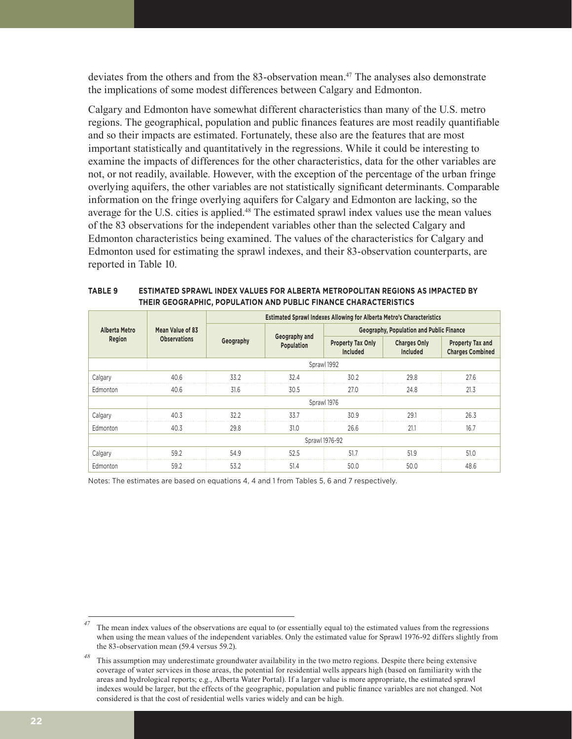deviates from the others and from the 83-observation mean.<sup>47</sup> The analyses also demonstrate the implications of some modest differences between Calgary and Edmonton.

Calgary and Edmonton have somewhat different characteristics than many of the U.S. metro regions. The geographical, population and public finances features are most readily quantifiable and so their impacts are estimated. Fortunately, these also are the features that are most important statistically and quantitatively in the regressions. While it could be interesting to examine the impacts of differences for the other characteristics, data for the other variables are not, or not readily, available. However, with the exception of the percentage of the urban fringe overlying aquifers, the other variables are not statistically significant determinants. Comparable information on the fringe overlying aquifers for Calgary and Edmonton are lacking, so the average for the U.S. cities is applied.<sup>48</sup> The estimated sprawl index values use the mean values of the 83 observations for the independent variables other than the selected Calgary and Edmonton characteristics being examined. The values of the characteristics for Calgary and Edmonton used for estimating the sprawl indexes, and their 83-observation counterparts, are reported in Table 10.

|                         |                     | <b>Estimated Sprawl Indexes Allowing for Alberta Metro's Characteristics</b> |                                      |                                 |                                                    |      |  |
|-------------------------|---------------------|------------------------------------------------------------------------------|--------------------------------------|---------------------------------|----------------------------------------------------|------|--|
| Alberta Metro<br>Region | Mean Value of 83    | Geography and<br>Geography<br>Population                                     |                                      |                                 | <b>Geography, Population and Public Finance</b>    |      |  |
|                         | <b>Observations</b> |                                                                              | <b>Property Tax Only</b><br>Included | <b>Charges Only</b><br>Included | <b>Property Tax and</b><br><b>Charges Combined</b> |      |  |
|                         |                     |                                                                              |                                      | Sprawl 1992                     |                                                    |      |  |
| Calgary                 | 40.6                | 33.2                                                                         | 32.4                                 | 30.2                            | 29.8                                               | 27.6 |  |
| Edmonton                | 40.6                | 31.6                                                                         | 30.5                                 | 27.0                            | 24.8                                               | 21.3 |  |
|                         |                     |                                                                              |                                      | Sprawl 1976                     |                                                    |      |  |
| Calgary                 | 40.3                | 32.2                                                                         | 33.7                                 | 30.9                            | 29.1                                               | 26.3 |  |
| Edmonton                | 40.3                | 29.8                                                                         | 31.0                                 | 26.6                            | 21.1                                               | 16.7 |  |
|                         |                     |                                                                              |                                      | Sprawl 1976-92                  |                                                    |      |  |
| $\sim$ $\sim$           |                     |                                                                              | $ -$                                 |                                 |                                                    |      |  |

Calgary 59.2 54.9 52.5 51.7 51.9 51.0 Edmonton 59.2 53.2 51.4 50.0 50.0 48.6

| TABLE 9 | <b>ESTIMATED SPRAWL INDEX VALUES FOR ALBERTA METROPOLITAN REGIONS AS IMPACTED BY</b> |
|---------|--------------------------------------------------------------------------------------|
|         | THEIR GEOGRAPHIC, POPULATION AND PUBLIC FINANCE CHARACTERISTICS                      |

Notes: The estimates are based on equations 4, 4 and 1 from Tables 5, 6 and 7 respectively.

The mean index values of the observations are equal to (or essentially equal to) the estimated values from the regressions when using the mean values of the independent variables. Only the estimated value for Sprawl 1976-92 differs slightly from the 83-observation mean (59.4 versus 59.2).

This assumption may underestimate groundwater availability in the two metro regions. Despite there being extensive coverage of water services in those areas, the potential for residential wells appears high (based on familiarity with the areas and hydrological reports; e.g., Alberta Water Portal). If a larger value is more appropriate, the estimated sprawl indexes would be larger, but the effects of the geographic, population and public finance variables are not changed. Not considered is that the cost of residential wells varies widely and can be high.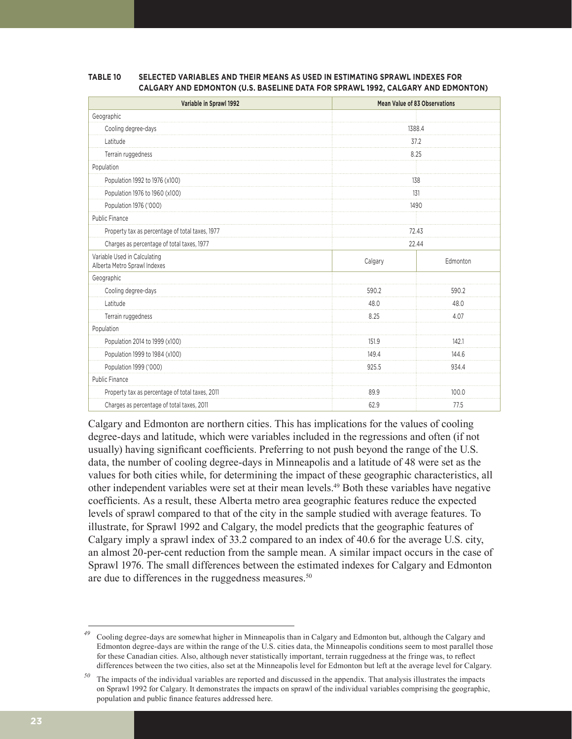| Variable in Sprawl 1992                                      |                     | <b>Mean Value of 83 Observations</b> |  |
|--------------------------------------------------------------|---------------------|--------------------------------------|--|
| Geographic                                                   |                     |                                      |  |
| Cooling degree-days                                          |                     | 1388.4                               |  |
| Latitude                                                     |                     | 37.2                                 |  |
| Terrain ruggedness                                           |                     | 8.25                                 |  |
| Population                                                   |                     |                                      |  |
| Population 1992 to 1976 (x100)                               |                     | 138                                  |  |
| Population 1976 to 1960 (x100)                               |                     | 131                                  |  |
| Population 1976 ('000)                                       |                     | 1490                                 |  |
| Public Finance                                               |                     |                                      |  |
| Property tax as percentage of total taxes, 1977              | 72.43               |                                      |  |
| Charges as percentage of total taxes, 1977                   | 22.44               |                                      |  |
| Variable Used in Calculating<br>Alberta Metro Sprawl Indexes | Calgary<br>Edmonton |                                      |  |
| Geographic                                                   |                     |                                      |  |
| Cooling degree-days                                          | 590.2               | 590.2                                |  |
| Latitude                                                     | 48.0                | 48.0                                 |  |
| Terrain ruggedness                                           | 8.25                | 4.07                                 |  |
| Population                                                   |                     |                                      |  |
| Population 2014 to 1999 (x100)                               | 151.9               | 142.1                                |  |
| Population 1999 to 1984 (x100)                               | 149.4<br>144.6      |                                      |  |
| Population 1999 ('000)                                       | 925.5<br>934.4      |                                      |  |
| <b>Public Finance</b>                                        |                     |                                      |  |
| Property tax as percentage of total taxes, 2011              | 89.9                | 100.0                                |  |
| Charges as percentage of total taxes, 2011                   | 62.9                | 77.5                                 |  |

#### **TABLE 10 SELECTED VARIABLES AND THEIR MEANS AS USED IN ESTIMATING SPRAWL INDEXES FOR CALGARY AND EDMONTON (U.S. BASELINE DATA FOR SPRAWL 1992, CALGARY AND EDMONTON)**

Calgary and Edmonton are northern cities. This has implications for the values of cooling degree-days and latitude, which were variables included in the regressions and often (if not usually) having significant coefficients. Preferring to not push beyond the range of the U.S. data, the number of cooling degree-days in Minneapolis and a latitude of 48 were set as the values for both cities while, for determining the impact of these geographic characteristics, all other independent variables were set at their mean levels.49 Both these variables have negative coefficients. As a result, these Alberta metro area geographic features reduce the expected levels of sprawl compared to that of the city in the sample studied with average features. To illustrate, for Sprawl 1992 and Calgary, the model predicts that the geographic features of Calgary imply a sprawl index of 33.2 compared to an index of 40.6 for the average U.S. city, an almost 20-per-cent reduction from the sample mean. A similar impact occurs in the case of Sprawl 1976. The small differences between the estimated indexes for Calgary and Edmonton are due to differences in the ruggedness measures.<sup>50</sup>

*<sup>49</sup>* Cooling degree-days are somewhat higher in Minneapolis than in Calgary and Edmonton but, although the Calgary and Edmonton degree-days are within the range of the U.S. cities data, the Minneapolis conditions seem to most parallel those for these Canadian cities. Also, although never statistically important, terrain ruggedness at the fringe was, to reflect differences between the two cities, also set at the Minneapolis level for Edmonton but left at the average level for Calgary.

*<sup>50</sup>* The impacts of the individual variables are reported and discussed in the appendix. That analysis illustrates the impacts on Sprawl 1992 for Calgary. It demonstrates the impacts on sprawl of the individual variables comprising the geographic, population and public finance features addressed here.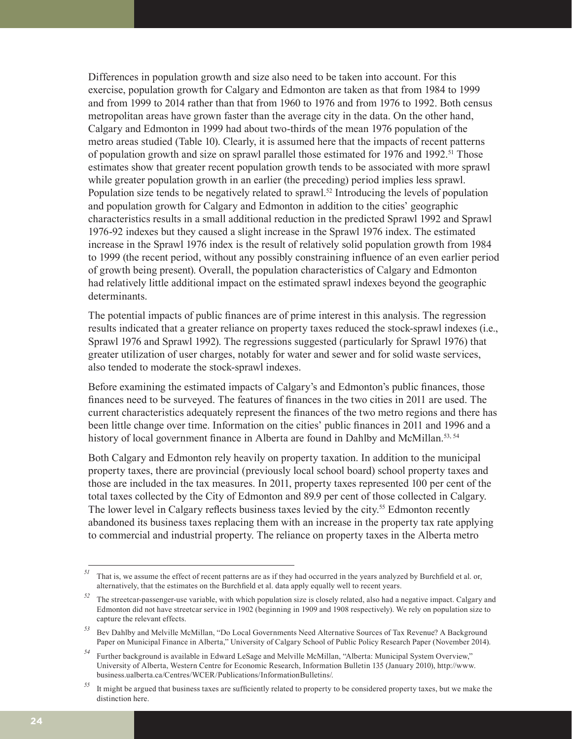Differences in population growth and size also need to be taken into account. For this exercise, population growth for Calgary and Edmonton are taken as that from 1984 to 1999 and from 1999 to 2014 rather than that from 1960 to 1976 and from 1976 to 1992. Both census metropolitan areas have grown faster than the average city in the data. On the other hand, Calgary and Edmonton in 1999 had about two-thirds of the mean 1976 population of the metro areas studied (Table 10). Clearly, it is assumed here that the impacts of recent patterns of population growth and size on sprawl parallel those estimated for 1976 and 1992.<sup>51</sup> Those estimates show that greater recent population growth tends to be associated with more sprawl while greater population growth in an earlier (the preceding) period implies less sprawl. Population size tends to be negatively related to sprawl.52 Introducing the levels of population and population growth for Calgary and Edmonton in addition to the cities' geographic characteristics results in a small additional reduction in the predicted Sprawl 1992 and Sprawl 1976-92 indexes but they caused a slight increase in the Sprawl 1976 index. The estimated increase in the Sprawl 1976 index is the result of relatively solid population growth from 1984 to 1999 (the recent period, without any possibly constraining influence of an even earlier period of growth being present). Overall, the population characteristics of Calgary and Edmonton had relatively little additional impact on the estimated sprawl indexes beyond the geographic determinants.

The potential impacts of public finances are of prime interest in this analysis. The regression results indicated that a greater reliance on property taxes reduced the stock-sprawl indexes (i.e., Sprawl 1976 and Sprawl 1992). The regressions suggested (particularly for Sprawl 1976) that greater utilization of user charges, notably for water and sewer and for solid waste services, also tended to moderate the stock-sprawl indexes.

Before examining the estimated impacts of Calgary's and Edmonton's public finances, those finances need to be surveyed. The features of finances in the two cities in 2011 are used. The current characteristics adequately represent the finances of the two metro regions and there has been little change over time. Information on the cities' public finances in 2011 and 1996 and a history of local government finance in Alberta are found in Dahlby and McMillan.<sup>53, 54</sup>

Both Calgary and Edmonton rely heavily on property taxation. In addition to the municipal property taxes, there are provincial (previously local school board) school property taxes and those are included in the tax measures. In 2011, property taxes represented 100 per cent of the total taxes collected by the City of Edmonton and 89.9 per cent of those collected in Calgary. The lower level in Calgary reflects business taxes levied by the city.<sup>55</sup> Edmonton recently abandoned its business taxes replacing them with an increase in the property tax rate applying to commercial and industrial property. The reliance on property taxes in the Alberta metro

*<sup>51</sup>* That is, we assume the effect of recent patterns are as if they had occurred in the years analyzed by Burchfield et al. or, alternatively, that the estimates on the Burchfield et al. data apply equally well to recent years.

*<sup>52</sup>* The streetcar-passenger-use variable, with which population size is closely related, also had a negative impact. Calgary and Edmonton did not have streetcar service in 1902 (beginning in 1909 and 1908 respectively). We rely on population size to capture the relevant effects.

*<sup>53</sup>* Bev Dahlby and Melville McMillan, "Do Local Governments Need Alternative Sources of Tax Revenue? A Background Paper on Municipal Finance in Alberta," University of Calgary School of Public Policy Research Paper (November 2014).

*<sup>54</sup>* Further background is available in Edward LeSage and Melville McMillan, "Alberta: Municipal System Overview," University of Alberta, Western Centre for Economic Research, Information Bulletin 135 (January 2010), http://www. business.ualberta.ca/Centres/WCER/Publications/InformationBulletins/.

<sup>&</sup>lt;sup>55</sup> It might be argued that business taxes are sufficiently related to property to be considered property taxes, but we make the distinction here.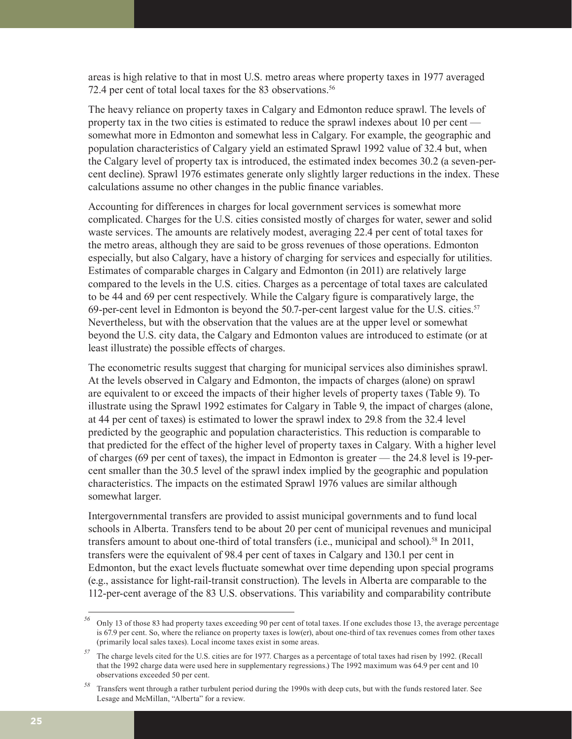areas is high relative to that in most U.S. metro areas where property taxes in 1977 averaged 72.4 per cent of total local taxes for the 83 observations.<sup>56</sup>

The heavy reliance on property taxes in Calgary and Edmonton reduce sprawl. The levels of property tax in the two cities is estimated to reduce the sprawl indexes about 10 per cent somewhat more in Edmonton and somewhat less in Calgary. For example, the geographic and population characteristics of Calgary yield an estimated Sprawl 1992 value of 32.4 but, when the Calgary level of property tax is introduced, the estimated index becomes 30.2 (a seven-percent decline). Sprawl 1976 estimates generate only slightly larger reductions in the index. These calculations assume no other changes in the public finance variables.

Accounting for differences in charges for local government services is somewhat more complicated. Charges for the U.S. cities consisted mostly of charges for water, sewer and solid waste services. The amounts are relatively modest, averaging 22.4 per cent of total taxes for the metro areas, although they are said to be gross revenues of those operations. Edmonton especially, but also Calgary, have a history of charging for services and especially for utilities. Estimates of comparable charges in Calgary and Edmonton (in 2011) are relatively large compared to the levels in the U.S. cities. Charges as a percentage of total taxes are calculated to be 44 and 69 per cent respectively. While the Calgary figure is comparatively large, the 69-per-cent level in Edmonton is beyond the 50.7-per-cent largest value for the U.S. cities.<sup>57</sup> Nevertheless, but with the observation that the values are at the upper level or somewhat beyond the U.S. city data, the Calgary and Edmonton values are introduced to estimate (or at least illustrate) the possible effects of charges.

The econometric results suggest that charging for municipal services also diminishes sprawl. At the levels observed in Calgary and Edmonton, the impacts of charges (alone) on sprawl are equivalent to or exceed the impacts of their higher levels of property taxes (Table 9). To illustrate using the Sprawl 1992 estimates for Calgary in Table 9, the impact of charges (alone, at 44 per cent of taxes) is estimated to lower the sprawl index to 29.8 from the 32.4 level predicted by the geographic and population characteristics. This reduction is comparable to that predicted for the effect of the higher level of property taxes in Calgary. With a higher level of charges (69 per cent of taxes), the impact in Edmonton is greater — the 24.8 level is 19-percent smaller than the 30.5 level of the sprawl index implied by the geographic and population characteristics. The impacts on the estimated Sprawl 1976 values are similar although somewhat larger.

Intergovernmental transfers are provided to assist municipal governments and to fund local schools in Alberta. Transfers tend to be about 20 per cent of municipal revenues and municipal transfers amount to about one-third of total transfers (i.e., municipal and school).<sup>58</sup> In 2011, transfers were the equivalent of 98.4 per cent of taxes in Calgary and 130.1 per cent in Edmonton, but the exact levels fluctuate somewhat over time depending upon special programs (e.g., assistance for light-rail-transit construction). The levels in Alberta are comparable to the 112-per-cent average of the 83 U.S. observations. This variability and comparability contribute

*<sup>56</sup>* Only 13 of those 83 had property taxes exceeding 90 per cent of total taxes. If one excludes those 13, the average percentage is 67.9 per cent. So, where the reliance on property taxes is low(er), about one-third of tax revenues comes from other taxes (primarily local sales taxes). Local income taxes exist in some areas.

*<sup>57</sup>* The charge levels cited for the U.S. cities are for 1977. Charges as a percentage of total taxes had risen by 1992. (Recall that the 1992 charge data were used here in supplementary regressions.) The 1992 maximum was 64.9 per cent and 10 observations exceeded 50 per cent.

*<sup>58</sup>* Transfers went through a rather turbulent period during the 1990s with deep cuts, but with the funds restored later. See Lesage and McMillan, "Alberta" for a review.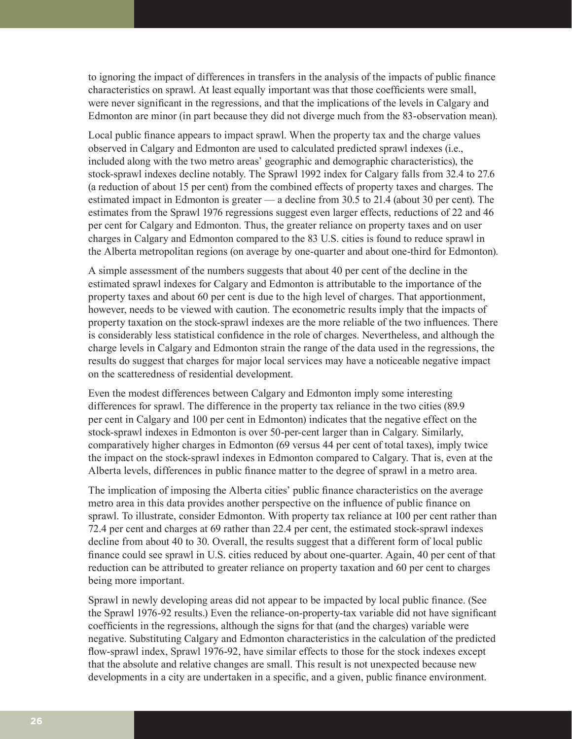to ignoring the impact of differences in transfers in the analysis of the impacts of public finance characteristics on sprawl. At least equally important was that those coefficients were small, were never significant in the regressions, and that the implications of the levels in Calgary and Edmonton are minor (in part because they did not diverge much from the 83-observation mean).

Local public finance appears to impact sprawl. When the property tax and the charge values observed in Calgary and Edmonton are used to calculated predicted sprawl indexes (i.e., included along with the two metro areas' geographic and demographic characteristics), the stock-sprawl indexes decline notably. The Sprawl 1992 index for Calgary falls from 32.4 to 27.6 (a reduction of about 15 per cent) from the combined effects of property taxes and charges. The estimated impact in Edmonton is greater — a decline from 30.5 to 21.4 (about 30 per cent). The estimates from the Sprawl 1976 regressions suggest even larger effects, reductions of 22 and 46 per cent for Calgary and Edmonton. Thus, the greater reliance on property taxes and on user charges in Calgary and Edmonton compared to the 83 U.S. cities is found to reduce sprawl in the Alberta metropolitan regions (on average by one-quarter and about one-third for Edmonton).

A simple assessment of the numbers suggests that about 40 per cent of the decline in the estimated sprawl indexes for Calgary and Edmonton is attributable to the importance of the property taxes and about 60 per cent is due to the high level of charges. That apportionment, however, needs to be viewed with caution. The econometric results imply that the impacts of property taxation on the stock-sprawl indexes are the more reliable of the two influences. There is considerably less statistical confidence in the role of charges. Nevertheless, and although the charge levels in Calgary and Edmonton strain the range of the data used in the regressions, the results do suggest that charges for major local services may have a noticeable negative impact on the scatteredness of residential development.

Even the modest differences between Calgary and Edmonton imply some interesting differences for sprawl. The difference in the property tax reliance in the two cities (89.9 per cent in Calgary and 100 per cent in Edmonton) indicates that the negative effect on the stock-sprawl indexes in Edmonton is over 50-per-cent larger than in Calgary. Similarly, comparatively higher charges in Edmonton (69 versus 44 per cent of total taxes), imply twice the impact on the stock-sprawl indexes in Edmonton compared to Calgary. That is, even at the Alberta levels, differences in public finance matter to the degree of sprawl in a metro area.

The implication of imposing the Alberta cities' public finance characteristics on the average metro area in this data provides another perspective on the influence of public finance on sprawl. To illustrate, consider Edmonton. With property tax reliance at 100 per cent rather than 72.4 per cent and charges at 69 rather than 22.4 per cent, the estimated stock-sprawl indexes decline from about 40 to 30. Overall, the results suggest that a different form of local public finance could see sprawl in U.S. cities reduced by about one-quarter. Again, 40 per cent of that reduction can be attributed to greater reliance on property taxation and 60 per cent to charges being more important.

Sprawl in newly developing areas did not appear to be impacted by local public finance. (See the Sprawl 1976-92 results.) Even the reliance-on-property-tax variable did not have significant coefficients in the regressions, although the signs for that (and the charges) variable were negative. Substituting Calgary and Edmonton characteristics in the calculation of the predicted flow-sprawl index, Sprawl 1976-92, have similar effects to those for the stock indexes except that the absolute and relative changes are small. This result is not unexpected because new developments in a city are undertaken in a specific, and a given, public finance environment.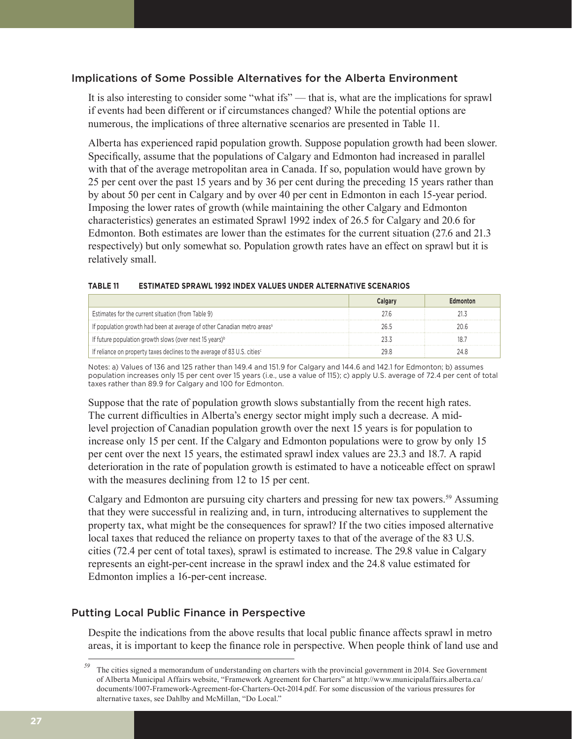# Implications of Some Possible Alternatives for the Alberta Environment

It is also interesting to consider some "what ifs" — that is, what are the implications for sprawl if events had been different or if circumstances changed? While the potential options are numerous, the implications of three alternative scenarios are presented in Table 11.

Alberta has experienced rapid population growth. Suppose population growth had been slower. Specifically, assume that the populations of Calgary and Edmonton had increased in parallel with that of the average metropolitan area in Canada. If so, population would have grown by 25 per cent over the past 15 years and by 36 per cent during the preceding 15 years rather than by about 50 per cent in Calgary and by over 40 per cent in Edmonton in each 15-year period. Imposing the lower rates of growth (while maintaining the other Calgary and Edmonton characteristics) generates an estimated Sprawl 1992 index of 26.5 for Calgary and 20.6 for Edmonton. Both estimates are lower than the estimates for the current situation (27.6 and 21.3 respectively) but only somewhat so. Population growth rates have an effect on sprawl but it is relatively small.

| Estimates for the current situation (from Table 9)                                   |  |
|--------------------------------------------------------------------------------------|--|
| If population growth had been at average of other Canadian metro areas <sup>a</sup>  |  |
| If future population growth slows (over next 15 years) <sup>b</sup>                  |  |
| If reliance on property taxes declines to the average of 83 U.S. cities <sup>c</sup> |  |

#### **TABLE 11 ESTIMATED SPRAWL 1992 INDEX VALUES UNDER ALTERNATIVE SCENARIOS**

Notes: a) Values of 136 and 125 rather than 149.4 and 151.9 for Calgary and 144.6 and 142.1 for Edmonton; b) assumes population increases only 15 per cent over 15 years (i.e., use a value of 115); c) apply U.S. average of 72.4 per cent of total taxes rather than 89.9 for Calgary and 100 for Edmonton.

Suppose that the rate of population growth slows substantially from the recent high rates. The current difficulties in Alberta's energy sector might imply such a decrease. A midlevel projection of Canadian population growth over the next 15 years is for population to increase only 15 per cent. If the Calgary and Edmonton populations were to grow by only 15 per cent over the next 15 years, the estimated sprawl index values are 23.3 and 18.7. A rapid deterioration in the rate of population growth is estimated to have a noticeable effect on sprawl with the measures declining from 12 to 15 per cent.

Calgary and Edmonton are pursuing city charters and pressing for new tax powers.<sup>59</sup> Assuming that they were successful in realizing and, in turn, introducing alternatives to supplement the property tax, what might be the consequences for sprawl? If the two cities imposed alternative local taxes that reduced the reliance on property taxes to that of the average of the 83 U.S. cities (72.4 per cent of total taxes), sprawl is estimated to increase. The 29.8 value in Calgary represents an eight-per-cent increase in the sprawl index and the 24.8 value estimated for Edmonton implies a 16-per-cent increase.

# Putting Local Public Finance in Perspective

Despite the indications from the above results that local public finance affects sprawl in metro areas, it is important to keep the finance role in perspective. When people think of land use and

<sup>&</sup>lt;sup>59</sup> The cities signed a memorandum of understanding on charters with the provincial government in 2014. See Government of Alberta Municipal Affairs website, "Framework Agreement for Charters" at http://www.municipalaffairs.alberta.ca/ documents/1007-Framework-Agreement-for-Charters-Oct-2014.pdf. For some discussion of the various pressures for alternative taxes, see Dahlby and McMillan, "Do Local."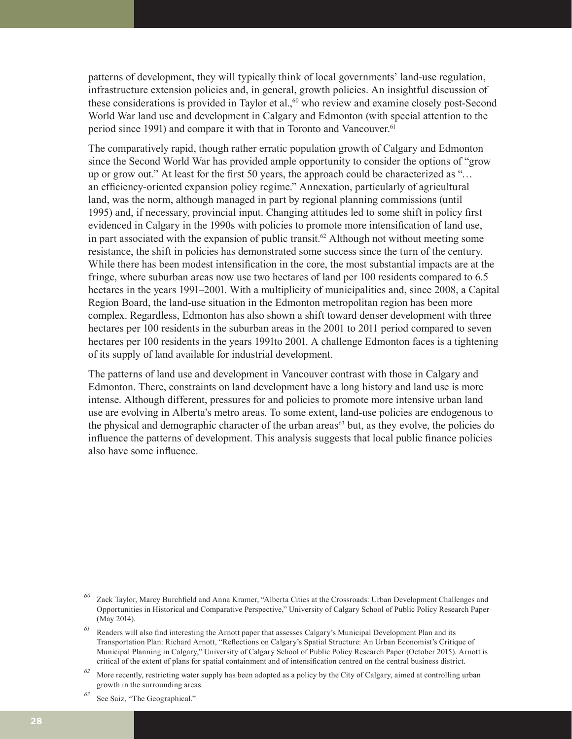patterns of development, they will typically think of local governments' land-use regulation, infrastructure extension policies and, in general, growth policies. An insightful discussion of these considerations is provided in Taylor et al.,<sup>60</sup> who review and examine closely post-Second World War land use and development in Calgary and Edmonton (with special attention to the period since 1991) and compare it with that in Toronto and Vancouver.<sup>61</sup>

The comparatively rapid, though rather erratic population growth of Calgary and Edmonton since the Second World War has provided ample opportunity to consider the options of "grow up or grow out." At least for the first 50 years, the approach could be characterized as "… an efficiency-oriented expansion policy regime." Annexation, particularly of agricultural land, was the norm, although managed in part by regional planning commissions (until 1995) and, if necessary, provincial input. Changing attitudes led to some shift in policy first evidenced in Calgary in the 1990s with policies to promote more intensification of land use, in part associated with the expansion of public transit.<sup>62</sup> Although not without meeting some resistance, the shift in policies has demonstrated some success since the turn of the century. While there has been modest intensification in the core, the most substantial impacts are at the fringe, where suburban areas now use two hectares of land per 100 residents compared to 6.5 hectares in the years 1991–2001. With a multiplicity of municipalities and, since 2008, a Capital Region Board, the land-use situation in the Edmonton metropolitan region has been more complex. Regardless, Edmonton has also shown a shift toward denser development with three hectares per 100 residents in the suburban areas in the 2001 to 2011 period compared to seven hectares per 100 residents in the years 1991to 2001. A challenge Edmonton faces is a tightening of its supply of land available for industrial development.

The patterns of land use and development in Vancouver contrast with those in Calgary and Edmonton. There, constraints on land development have a long history and land use is more intense. Although different, pressures for and policies to promote more intensive urban land use are evolving in Alberta's metro areas. To some extent, land-use policies are endogenous to the physical and demographic character of the urban areas<sup>63</sup> but, as they evolve, the policies do influence the patterns of development. This analysis suggests that local public finance policies also have some influence.

Zack Taylor, Marcy Burchfield and Anna Kramer, "Alberta Cities at the Crossroads: Urban Development Challenges and Opportunities in Historical and Comparative Perspective," University of Calgary School of Public Policy Research Paper (May 2014).

*<sup>61</sup>* Readers will also find interesting the Arnott paper that assesses Calgary's Municipal Development Plan and its Transportation Plan: Richard Arnott, "Reflections on Calgary's Spatial Structure: An Urban Economist's Critique of Municipal Planning in Calgary," University of Calgary School of Public Policy Research Paper (October 2015). Arnott is critical of the extent of plans for spatial containment and of intensification centred on the central business district.

*<sup>62</sup>* More recently, restricting water supply has been adopted as a policy by the City of Calgary, aimed at controlling urban growth in the surrounding areas.

*<sup>63</sup>* See Saiz, "The Geographical."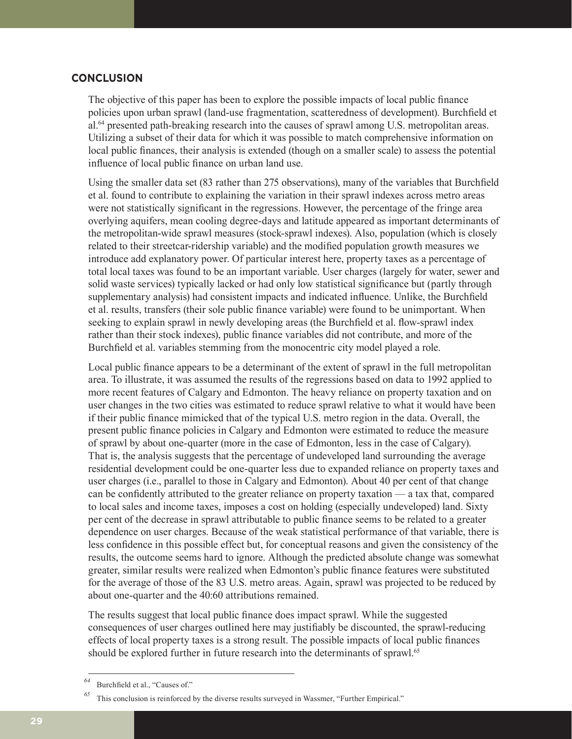# **CONCLUSION**

The objective of this paper has been to explore the possible impacts of local public finance policies upon urban sprawl (land-use fragmentation, scatteredness of development). Burchfield et al.64 presented path-breaking research into the causes of sprawl among U.S. metropolitan areas. Utilizing a subset of their data for which it was possible to match comprehensive information on local public finances, their analysis is extended (though on a smaller scale) to assess the potential influence of local public finance on urban land use.

Using the smaller data set (83 rather than 275 observations), many of the variables that Burchfield et al. found to contribute to explaining the variation in their sprawl indexes across metro areas were not statistically significant in the regressions. However, the percentage of the fringe area overlying aquifers, mean cooling degree-days and latitude appeared as important determinants of the metropolitan-wide sprawl measures (stock-sprawl indexes). Also, population (which is closely related to their streetcar-ridership variable) and the modified population growth measures we introduce add explanatory power. Of particular interest here, property taxes as a percentage of total local taxes was found to be an important variable. User charges (largely for water, sewer and solid waste services) typically lacked or had only low statistical significance but (partly through supplementary analysis) had consistent impacts and indicated influence. Unlike, the Burchfield et al. results, transfers (their sole public finance variable) were found to be unimportant. When seeking to explain sprawl in newly developing areas (the Burchfield et al. flow-sprawl index rather than their stock indexes), public finance variables did not contribute, and more of the Burchfield et al. variables stemming from the monocentric city model played a role.

Local public finance appears to be a determinant of the extent of sprawl in the full metropolitan area. To illustrate, it was assumed the results of the regressions based on data to 1992 applied to more recent features of Calgary and Edmonton. The heavy reliance on property taxation and on user changes in the two cities was estimated to reduce sprawl relative to what it would have been if their public finance mimicked that of the typical U.S. metro region in the data. Overall, the present public finance policies in Calgary and Edmonton were estimated to reduce the measure of sprawl by about one-quarter (more in the case of Edmonton, less in the case of Calgary). That is, the analysis suggests that the percentage of undeveloped land surrounding the average residential development could be one-quarter less due to expanded reliance on property taxes and user charges (i.e., parallel to those in Calgary and Edmonton). About 40 per cent of that change can be confidently attributed to the greater reliance on property taxation — a tax that, compared to local sales and income taxes, imposes a cost on holding (especially undeveloped) land. Sixty per cent of the decrease in sprawl attributable to public finance seems to be related to a greater dependence on user charges. Because of the weak statistical performance of that variable, there is less confidence in this possible effect but, for conceptual reasons and given the consistency of the results, the outcome seems hard to ignore. Although the predicted absolute change was somewhat greater, similar results were realized when Edmonton's public finance features were substituted for the average of those of the 83 U.S. metro areas. Again, sprawl was projected to be reduced by about one-quarter and the 40:60 attributions remained.

The results suggest that local public finance does impact sprawl. While the suggested consequences of user charges outlined here may justifiably be discounted, the sprawl-reducing effects of local property taxes is a strong result. The possible impacts of local public finances should be explored further in future research into the determinants of sprawl.<sup>65</sup>

*<sup>64</sup>* Burchfield et al., "Causes of."

This conclusion is reinforced by the diverse results surveyed in Wassmer, "Further Empirical."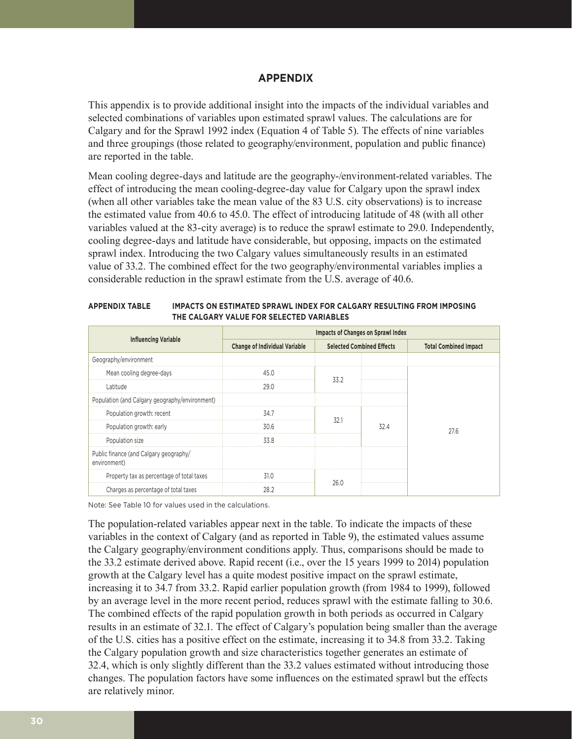## **APPENDIX**

This appendix is to provide additional insight into the impacts of the individual variables and selected combinations of variables upon estimated sprawl values. The calculations are for Calgary and for the Sprawl 1992 index (Equation 4 of Table 5). The effects of nine variables and three groupings (those related to geography/environment, population and public finance) are reported in the table.

Mean cooling degree-days and latitude are the geography-/environment-related variables. The effect of introducing the mean cooling-degree-day value for Calgary upon the sprawl index (when all other variables take the mean value of the 83 U.S. city observations) is to increase the estimated value from 40.6 to 45.0. The effect of introducing latitude of 48 (with all other variables valued at the 83-city average) is to reduce the sprawl estimate to 29.0. Independently, cooling degree-days and latitude have considerable, but opposing, impacts on the estimated sprawl index. Introducing the two Calgary values simultaneously results in an estimated value of 33.2. The combined effect for the two geography/environmental variables implies a considerable reduction in the sprawl estimate from the U.S. average of 40.6.

| <b>Influencing Variable</b>                            | <b>Impacts of Changes on Sprawl Index</b> |                                  |      |                              |
|--------------------------------------------------------|-------------------------------------------|----------------------------------|------|------------------------------|
|                                                        | <b>Change of Individual Variable</b>      | <b>Selected Combined Effects</b> |      | <b>Total Combined Impact</b> |
| Geography/environment                                  |                                           |                                  |      |                              |
| Mean cooling degree-days                               | 45.0                                      | 33.2                             |      |                              |
| Latitude                                               | 29.0                                      |                                  |      |                              |
| Population (and Calgary geography/environment)         |                                           |                                  |      |                              |
| Population growth: recent                              | 34.7                                      | 32.1                             | 32.4 | 27.6                         |
| Population growth: early                               | 30.6                                      |                                  |      |                              |
| Population size                                        | 33.8                                      |                                  |      |                              |
| Public finance (and Calgary geography/<br>environment) |                                           |                                  |      |                              |
| Property tax as percentage of total taxes              | 31.0                                      | 26 O                             |      |                              |
| Charges as percentage of total taxes                   | 28.2                                      |                                  |      |                              |

#### **APPENDIX TABLE IMPACTS ON ESTIMATED SPRAWL INDEX FOR CALGARY RESULTING FROM IMPOSING THE CALGARY VALUE FOR SELECTED VARIABLES**

Note: See Table 10 for values used in the calculations.

The population-related variables appear next in the table. To indicate the impacts of these variables in the context of Calgary (and as reported in Table 9), the estimated values assume the Calgary geography/environment conditions apply. Thus, comparisons should be made to the 33.2 estimate derived above. Rapid recent (i.e., over the 15 years 1999 to 2014) population growth at the Calgary level has a quite modest positive impact on the sprawl estimate, increasing it to 34.7 from 33.2. Rapid earlier population growth (from 1984 to 1999), followed by an average level in the more recent period, reduces sprawl with the estimate falling to 30.6. The combined effects of the rapid population growth in both periods as occurred in Calgary results in an estimate of 32.1. The effect of Calgary's population being smaller than the average of the U.S. cities has a positive effect on the estimate, increasing it to 34.8 from 33.2. Taking the Calgary population growth and size characteristics together generates an estimate of 32.4, which is only slightly different than the 33.2 values estimated without introducing those changes. The population factors have some influences on the estimated sprawl but the effects are relatively minor.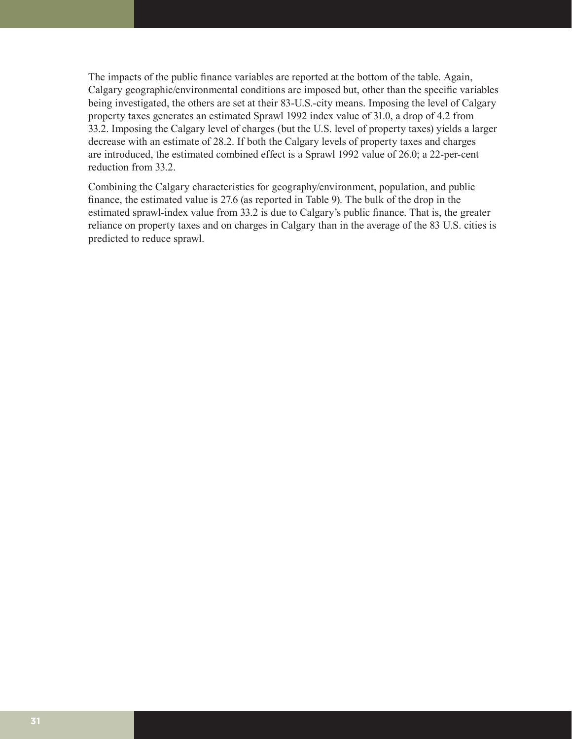The impacts of the public finance variables are reported at the bottom of the table. Again, Calgary geographic/environmental conditions are imposed but, other than the specific variables being investigated, the others are set at their 83-U.S.-city means. Imposing the level of Calgary property taxes generates an estimated Sprawl 1992 index value of 31.0, a drop of 4.2 from 33.2. Imposing the Calgary level of charges (but the U.S. level of property taxes) yields a larger decrease with an estimate of 28.2. If both the Calgary levels of property taxes and charges are introduced, the estimated combined effect is a Sprawl 1992 value of 26.0; a 22-per-cent reduction from 33.2.

Combining the Calgary characteristics for geography/environment, population, and public finance, the estimated value is 27.6 (as reported in Table 9). The bulk of the drop in the estimated sprawl-index value from 33.2 is due to Calgary's public finance. That is, the greater reliance on property taxes and on charges in Calgary than in the average of the 83 U.S. cities is predicted to reduce sprawl.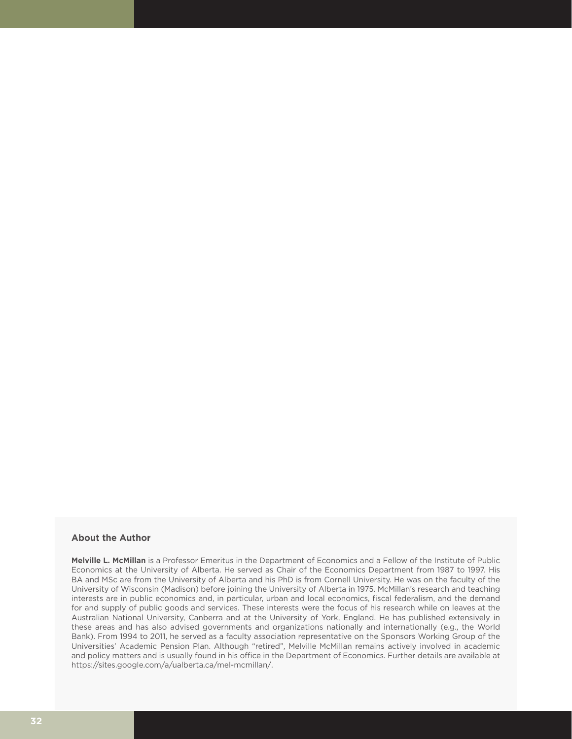#### **About the Author**

**Melville L. McMillan** is a Professor Emeritus in the Department of Economics and a Fellow of the Institute of Public Economics at the University of Alberta. He served as Chair of the Economics Department from 1987 to 1997. His BA and MSc are from the University of Alberta and his PhD is from Cornell University. He was on the faculty of the University of Wisconsin (Madison) before joining the University of Alberta in 1975. McMillan's research and teaching interests are in public economics and, in particular, urban and local economics, fiscal federalism, and the demand for and supply of public goods and services. These interests were the focus of his research while on leaves at the Australian National University, Canberra and at the University of York, England. He has published extensively in these areas and has also advised governments and organizations nationally and internationally (e.g., the World Bank). From 1994 to 2011, he served as a faculty association representative on the Sponsors Working Group of the Universities' Academic Pension Plan. Although "retired", Melville McMillan remains actively involved in academic and policy matters and is usually found in his office in the Department of Economics. Further details are available at https://sites.google.com/a/ualberta.ca/mel-mcmillan/.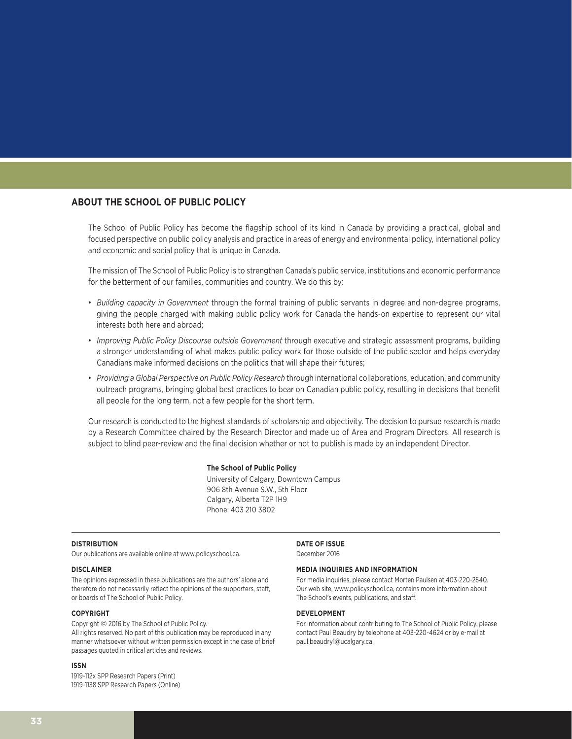## **ABOUT THE SCHOOL OF PUBLIC POLICY**

The School of Public Policy has become the flagship school of its kind in Canada by providing a practical, global and focused perspective on public policy analysis and practice in areas of energy and environmental policy, international policy and economic and social policy that is unique in Canada.

The mission of The School of Public Policy is to strengthen Canada's public service, institutions and economic performance for the betterment of our families, communities and country. We do this by:

- *Building capacity in Government* through the formal training of public servants in degree and non-degree programs, giving the people charged with making public policy work for Canada the hands-on expertise to represent our vital interests both here and abroad;
- *Improving Public Policy Discourse outside Government* through executive and strategic assessment programs, building a stronger understanding of what makes public policy work for those outside of the public sector and helps everyday Canadians make informed decisions on the politics that will shape their futures;
- *Providing a Global Perspective on Public Policy Research* through international collaborations, education, and community outreach programs, bringing global best practices to bear on Canadian public policy, resulting in decisions that benefit all people for the long term, not a few people for the short term.

Our research is conducted to the highest standards of scholarship and objectivity. The decision to pursue research is made by a Research Committee chaired by the Research Director and made up of Area and Program Directors. All research is subject to blind peer-review and the final decision whether or not to publish is made by an independent Director.

#### **The School of Public Policy**

University of Calgary, Downtown Campus 906 8th Avenue S.W., 5th Floor Calgary, Alberta T2P 1H9 Phone: 403 210 3802

#### **DISTRIBUTION**

Our publications are available online at www.policyschool.ca.

#### **DISCLAIMER**

The opinions expressed in these publications are the authors' alone and therefore do not necessarily reflect the opinions of the supporters, staff, or boards of The School of Public Policy.

#### **COPYRIGHT**

Copyright © 2016 by The School of Public Policy. All rights reserved. No part of this publication may be reproduced in any manner whatsoever without written permission except in the case of brief passages quoted in critical articles and reviews.

#### **ISSN**

1919-112x SPP Research Papers (Print) 1919-1138 SPP Research Papers (Online)

#### **DATE OF ISSUE**

December 2016

#### **MEDIA INQUIRIES AND INFORMATION**

For media inquiries, please contact Morten Paulsen at 403-220-2540. Our web site, www.policyschool.ca, contains more information about The School's events, publications, and staff.

#### **DEVELOPMENT**

For information about contributing to The School of Public Policy, please contact Paul Beaudry by telephone at 403-220-4624 or by e-mail at paul.beaudry1@ucalgary.ca.